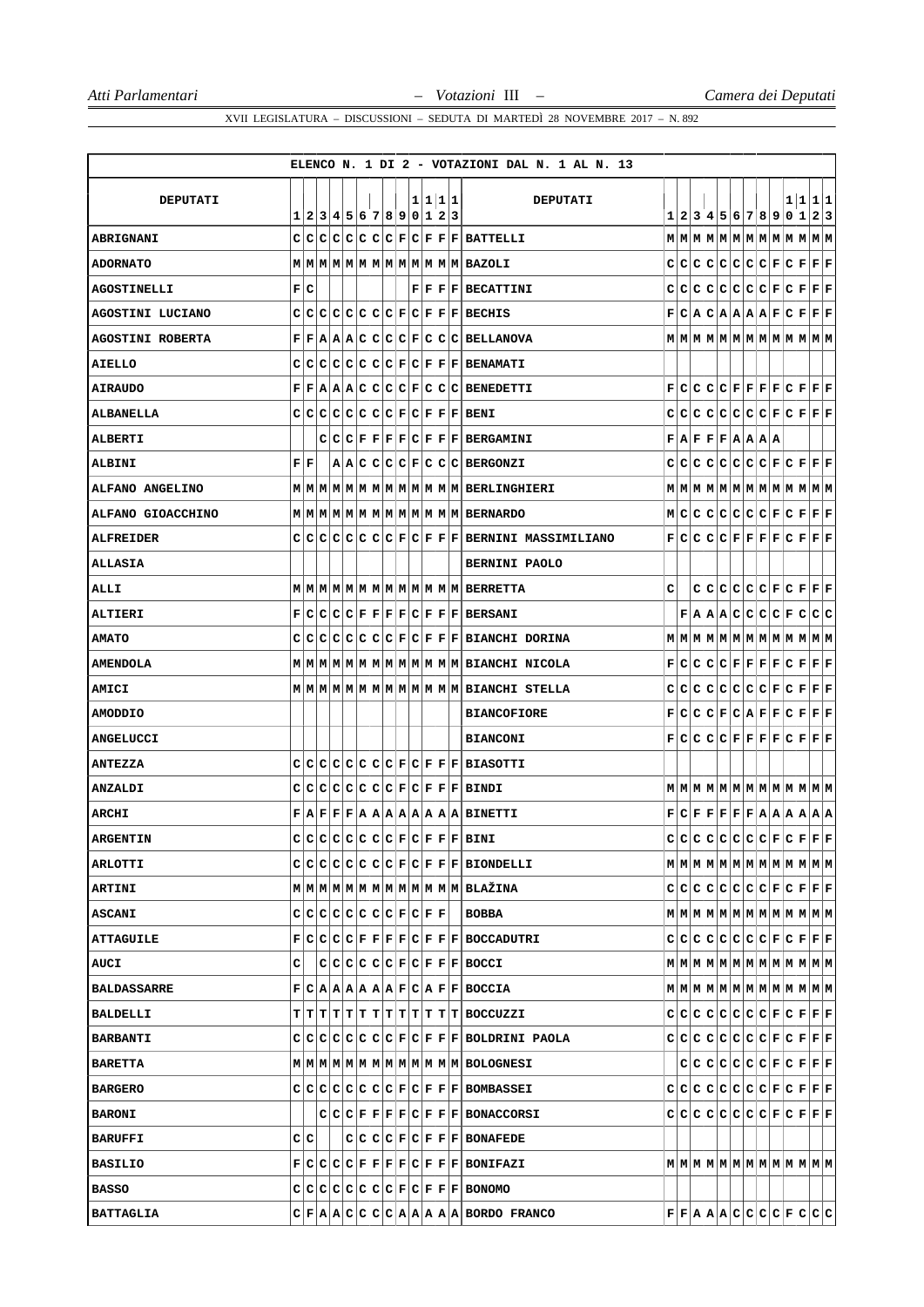|                         |                            |  |  |  |  |  |         | ELENCO N. 1 DI 2 - VOTAZIONI DAL N. 1 AL N. 13                                     |   |  |  |  |                                                                                                         |  |                                                                                                                                                             |
|-------------------------|----------------------------|--|--|--|--|--|---------|------------------------------------------------------------------------------------|---|--|--|--|---------------------------------------------------------------------------------------------------------|--|-------------------------------------------------------------------------------------------------------------------------------------------------------------|
| <b>DEPUTATI</b>         |                            |  |  |  |  |  | 1 1 1 1 | <b>DEPUTATI</b>                                                                    |   |  |  |  |                                                                                                         |  | 1 1 1 1                                                                                                                                                     |
|                         | 1 2 3 4 5 6 7 8 9 0 1 2 3  |  |  |  |  |  |         |                                                                                    |   |  |  |  |                                                                                                         |  | 1 2 3 4 5 6 7 8 9 0 1 2 3                                                                                                                                   |
| <b>ABRIGNANI</b>        |                            |  |  |  |  |  |         | C C C C C C F C F F F BATTELLI                                                     |   |  |  |  |                                                                                                         |  |                                                                                                                                                             |
| <b>ADORNATO</b>         |                            |  |  |  |  |  |         |                                                                                    |   |  |  |  |                                                                                                         |  | $C C C C C C C F C F F F F$                                                                                                                                 |
| <b>AGOSTINELLI</b>      | F C                        |  |  |  |  |  |         | $F F F F $ BECATTINI                                                               |   |  |  |  |                                                                                                         |  | $C C C C C C C F C F F F F F$                                                                                                                               |
| AGOSTINI LUCIANO        |                            |  |  |  |  |  |         | $C C C C C C C F C F F F BECHIS$                                                   |   |  |  |  |                                                                                                         |  | $F C A C A A A A F C F F F F$                                                                                                                               |
| <b>AGOSTINI ROBERTA</b> |                            |  |  |  |  |  |         | F F A A A C C C C F C C C BELLANDVA                                                |   |  |  |  |                                                                                                         |  |                                                                                                                                                             |
| AIELLO                  |                            |  |  |  |  |  |         | $C C C C C C C F C F F F F BENAMATI$                                               |   |  |  |  |                                                                                                         |  |                                                                                                                                                             |
| AIRAUDO                 |                            |  |  |  |  |  |         | $F F A A C C C C F C C C B$ ENEDETTI                                               |   |  |  |  |                                                                                                         |  | $\mathbf{F}[\mathbf{C} \mathbf{C} \mathbf{C} \mathbf{C} \mathbf{F} \mathbf{F} \mathbf{F} \mathbf{F} \mathbf{C} \mathbf{F} \mathbf{F} \mathbf{F}]$           |
| <b>ALBANELLA</b>        |                            |  |  |  |  |  |         | $C C C C C C C F C F F F F BENI$                                                   |   |  |  |  |                                                                                                         |  | $C C C C C C C F C F F F F F$                                                                                                                               |
| <b>ALBERTI</b>          |                            |  |  |  |  |  |         | C C F F F F C F F F BERGAMINI                                                      |   |  |  |  | $\mathbf{F}   \mathbf{A}   \mathbf{F}   \mathbf{F}   \mathbf{F}   \mathbf{A}   \mathbf{A}   \mathbf{A}$ |  |                                                                                                                                                             |
| ALBINI                  | FF                         |  |  |  |  |  |         | $ {\bf A} {\bf A} {\bf C} {\bf C} {\bf C} {\bf F} {\bf C} {\bf C} {\bf B}$ ERGONZI |   |  |  |  |                                                                                                         |  | $C C C C C C C F C F F F F F$                                                                                                                               |
| ALFANO ANGELINO         |                            |  |  |  |  |  |         | M M M M M M M M M M M M M M M BERLINGHIERI                                         |   |  |  |  |                                                                                                         |  |                                                                                                                                                             |
| ALFANO GIOACCHINO       |                            |  |  |  |  |  |         |                                                                                    |   |  |  |  |                                                                                                         |  | M C C C C C C F C F F F F                                                                                                                                   |
| <b>ALFREIDER</b>        |                            |  |  |  |  |  |         | $C C C C C C C F C F F F BERNINI$ MASSIMILIANO                                     |   |  |  |  |                                                                                                         |  | $\mathbf{F}[\mathbf{C} \mathbf{C} \mathbf{C} \mathbf{C} \mathbf{F} \mathbf{F} \mathbf{F} \mathbf{F} \mathbf{C} \mathbf{F} \mathbf{F} \mathbf{F}]$           |
| <b>ALLASIA</b>          |                            |  |  |  |  |  |         | <b>BERNINI PAOLO</b>                                                               |   |  |  |  |                                                                                                         |  |                                                                                                                                                             |
| <b>ALLI</b>             |                            |  |  |  |  |  |         |                                                                                    | с |  |  |  |                                                                                                         |  | $C C C C C F C F F F F F$                                                                                                                                   |
| ALTIERI                 |                            |  |  |  |  |  |         | F C C C F F F F C F F F BERSANI                                                    |   |  |  |  |                                                                                                         |  | F A A C C C C F C C C                                                                                                                                       |
| <b>AMATO</b>            |                            |  |  |  |  |  |         | $C C C C C C C F C F F F BIANCHI DORINA$                                           |   |  |  |  |                                                                                                         |  | $\texttt{M} \texttt{M} \texttt{M} \texttt{M} \texttt{M} \texttt{M} \texttt{M} \texttt{M} \texttt{M} \texttt{M} \texttt{M} \texttt{M}$                       |
| <b>AMENDOLA</b>         |                            |  |  |  |  |  |         |                                                                                    |   |  |  |  |                                                                                                         |  | $\mathbf{F}[\mathbf{C} \mathbf{C} \mathbf{C} \mathbf{C} \mathbf{F} \mathbf{F} \mathbf{F} \mathbf{F} \mathbf{C} \mathbf{F} \mathbf{F} \mathbf{F}]$           |
| AMICI                   |                            |  |  |  |  |  |         | M M M M M M M M M M M M M M BIANCHI STELLA                                         |   |  |  |  |                                                                                                         |  | $C C C C C C C F C F F F F F$                                                                                                                               |
| <b>AMODDIO</b>          |                            |  |  |  |  |  |         | <b>BIANCOFIORE</b>                                                                 |   |  |  |  |                                                                                                         |  | $\mathbf{F}[\mathbf{C} \mathbf{C} \mathbf{C} \mathbf{F} \mathbf{C} \mathbf{A} \mathbf{F} \mathbf{F} \mathbf{C} \mathbf{F} \mathbf{F} \mathbf{F}]$           |
| <b>ANGELUCCI</b>        |                            |  |  |  |  |  |         | <b>BIANCONI</b>                                                                    |   |  |  |  |                                                                                                         |  | $\mathbf{F}[\mathbf{C} \mathbf{C} \mathbf{C} \mathbf{C} \mathbf{F} \mathbf{F} \mathbf{F} \mathbf{F} \mathbf{C} \mathbf{F} \mathbf{F} \mathbf{F}]$           |
| <b>ANTEZZA</b>          |                            |  |  |  |  |  |         | C C C C C C C F C F F F BIASOTTI                                                   |   |  |  |  |                                                                                                         |  |                                                                                                                                                             |
| <b>ANZALDI</b>          |                            |  |  |  |  |  |         | C C C C C C C F C F F F BINDI                                                      |   |  |  |  |                                                                                                         |  |                                                                                                                                                             |
| ARCIII                  |                            |  |  |  |  |  |         | F A F F A A A A A A A A BINETTI                                                    |   |  |  |  |                                                                                                         |  | $\mathbf{F}   \mathbf{C}   \mathbf{F}   \mathbf{F}   \mathbf{F}   \mathbf{F}   \mathbf{F}   \mathbf{A}   \mathbf{A}   \mathbf{A}   \mathbf{A}   \mathbf{A}$ |
| <b>ARGENTIN</b>         |                            |  |  |  |  |  |         | $c c c c c c c c F c F F F BINI$                                                   |   |  |  |  |                                                                                                         |  | $c c c c c c c c F c F F F F$                                                                                                                               |
| <b>ARLOTTI</b>          |                            |  |  |  |  |  |         | $C C C C C C C F C F F F BIONDELLI$                                                |   |  |  |  |                                                                                                         |  |                                                                                                                                                             |
| <b>ARTINI</b>           |                            |  |  |  |  |  |         |                                                                                    |   |  |  |  |                                                                                                         |  | $C C C C C C C F C F F F F F$                                                                                                                               |
| <b>ASCANI</b>           | $C C C C C C C F C F F F $ |  |  |  |  |  |         | BOBBA                                                                              |   |  |  |  |                                                                                                         |  | $\texttt{M} \texttt{M} \texttt{M} \texttt{M} \texttt{M} \texttt{M} \texttt{M} \texttt{M} \texttt{M} \texttt{M} \texttt{M} \texttt{M} \texttt{M}$            |
| ATTAGUILE               |                            |  |  |  |  |  |         | F C C C F F F F C F F F BOCCADUTRI                                                 |   |  |  |  |                                                                                                         |  |                                                                                                                                                             |
| AUCI                    | с                          |  |  |  |  |  |         | $C C C C C F C F F F F BOCCI$                                                      |   |  |  |  |                                                                                                         |  |                                                                                                                                                             |
| <b>BALDASSARRE</b>      |                            |  |  |  |  |  |         | F C A A A A A A F C A F F BOCCIA                                                   |   |  |  |  |                                                                                                         |  | $\texttt{M} \texttt{M} \texttt{M} \texttt{M} \texttt{M} \texttt{M} \texttt{M} \texttt{M} \texttt{M} \texttt{M} \texttt{M} \texttt{M} \texttt{M}$            |
| BALDELLI                |                            |  |  |  |  |  |         | T T T T T T T T T T T T T BOCCUZZI                                                 |   |  |  |  |                                                                                                         |  | $C C C C C C C F C F F F F $                                                                                                                                |
| <b>BARBANTI</b>         |                            |  |  |  |  |  |         | $C C C C C C C F C F F F $ BOLDRINI PAOLA                                          |   |  |  |  |                                                                                                         |  | $C C C C C C C F C F F F F$                                                                                                                                 |
| <b>BARETTA</b>          |                            |  |  |  |  |  |         | M M M M M M M M M M M M M M M BOLOGNESI                                            |   |  |  |  |                                                                                                         |  | $\mathbf{C} \mathbf{C} \mathbf{C} \mathbf{C} \mathbf{C} \mathbf{C} \mathbf{F} \mathbf{C} \mathbf{F} \mathbf{F} \mathbf{F}$                                  |
| <b>BARGERO</b>          |                            |  |  |  |  |  |         | $C C C C C C C F C F F F $ BOMBASSEI                                               |   |  |  |  |                                                                                                         |  | $C C C C C C C F C F F F F$                                                                                                                                 |
| <b>BARONI</b>           |                            |  |  |  |  |  |         | C C C F F F F C F F F BONACCORSL                                                   |   |  |  |  |                                                                                                         |  | $C[C[C]C[C]C[C]F[C]F]F$                                                                                                                                     |
| <b>BARUFFI</b>          | C C                        |  |  |  |  |  |         | $C C C F C F F F $ BONAFEDE                                                        |   |  |  |  |                                                                                                         |  |                                                                                                                                                             |
| <b>BASILIO</b>          |                            |  |  |  |  |  |         | F C C C F F F F C F F F BONIFAZI                                                   |   |  |  |  |                                                                                                         |  |                                                                                                                                                             |
| <b>BASSO</b>            |                            |  |  |  |  |  |         | $C C C C C C C F C F F F $ BONOMO                                                  |   |  |  |  |                                                                                                         |  |                                                                                                                                                             |
| <b>BATTAGLIA</b>        |                            |  |  |  |  |  |         | $C F A A C C C C A A A A A $ BORDO FRANCO                                          |   |  |  |  |                                                                                                         |  | $\mathbf{F} \mathbf{F} \mathbf{A} \mathbf{A} \mathbf{C} \mathbf{C} \mathbf{C} \mathbf{C} \mathbf{F} \mathbf{C} \mathbf{C} \mathbf{C} $                      |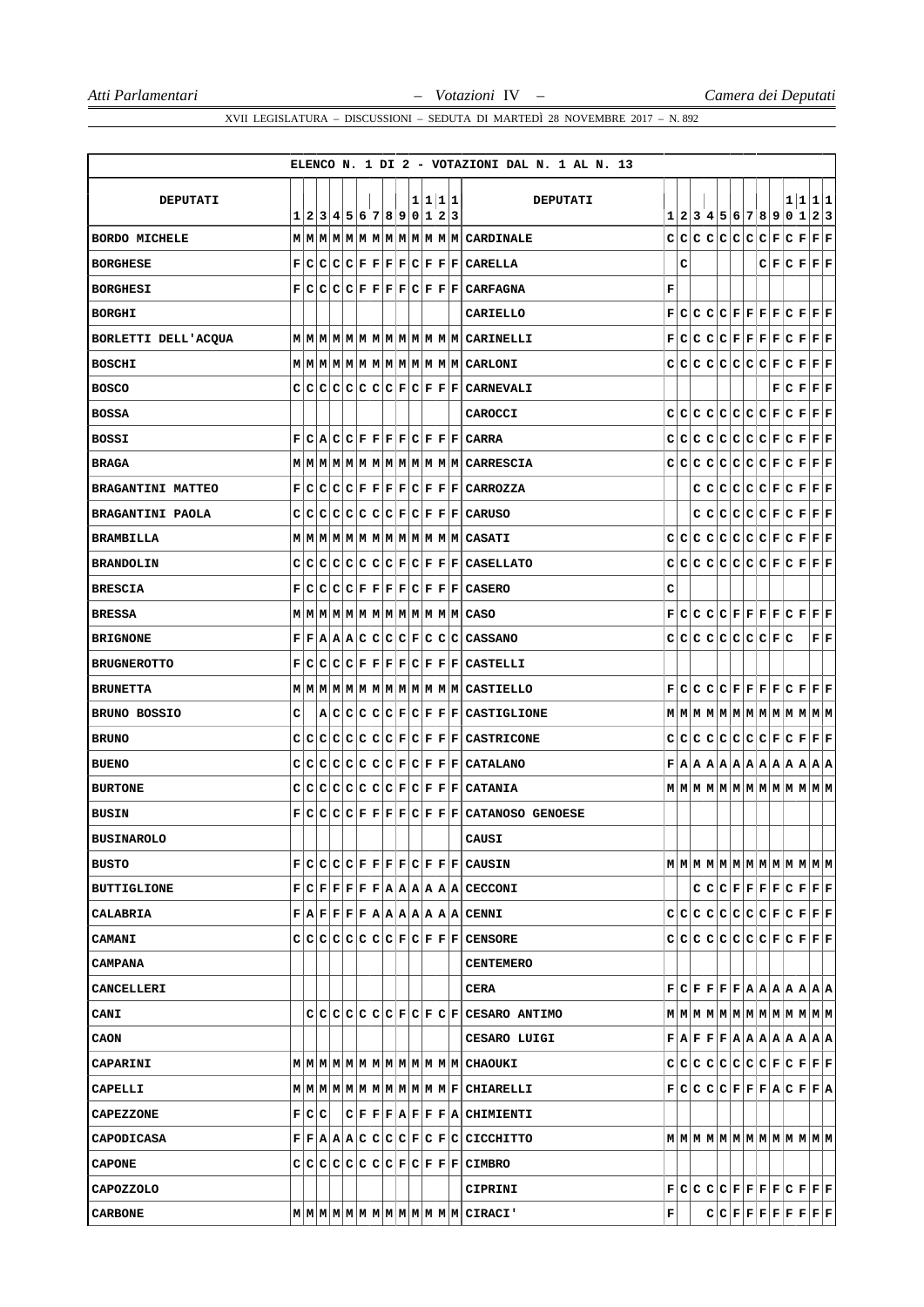|                         |       |  |  |                           |  |  |         | ELENCO N. 1 DI 2 - VOTAZIONI DAL N. 1 AL N. 13 |             |     |  |                                                                                                                                                             |  |             |                              |
|-------------------------|-------|--|--|---------------------------|--|--|---------|------------------------------------------------|-------------|-----|--|-------------------------------------------------------------------------------------------------------------------------------------------------------------|--|-------------|------------------------------|
|                         |       |  |  |                           |  |  |         |                                                |             |     |  |                                                                                                                                                             |  |             |                              |
| <b>DEPUTATI</b>         |       |  |  | 1 2 3 4 5 6 7 8 9 0 1 2 3 |  |  | 1 1 1 1 | <b>DEPUTATI</b>                                |             |     |  | 1 2 3 4 5 6 7 8 9 0 1 2 3                                                                                                                                   |  | 1 1 1 1     |                              |
| <b>BORDO MICHELE</b>    |       |  |  |                           |  |  |         |                                                |             |     |  | $C C C C C C C F C F F F F$                                                                                                                                 |  |             |                              |
| <b>BORGHESE</b>         |       |  |  |                           |  |  |         | F C C C F F F F C F F F CARELLA                |             | с   |  |                                                                                                                                                             |  | C F C F F F |                              |
| <b>BORGHESI</b>         | F     |  |  |                           |  |  |         | $C C C C F F F F C F F F CARFAGNA$             | $\mathbf F$ |     |  |                                                                                                                                                             |  |             |                              |
| <b>BORGHI</b>           |       |  |  |                           |  |  |         | CARIELLO                                       |             |     |  | $\mathbf{F}[\mathbf{C} \mathbf{C} \mathbf{C} \mathbf{C} \mathbf{F} \mathbf{F} \mathbf{F} \mathbf{F} \mathbf{C} \mathbf{F} \mathbf{F} \mathbf{F}]$           |  |             |                              |
| BORLETTI DELL'ACQUA     |       |  |  |                           |  |  |         |                                                |             |     |  | $\mathbf{F}[\mathbf{C} \mathbf{C} \mathbf{C} \mathbf{C} \mathbf{F} \mathbf{F} \mathbf{F} \mathbf{F} \mathbf{C} \mathbf{F} \mathbf{F} \mathbf{F}]$           |  |             |                              |
| <b>BOSCHI</b>           |       |  |  |                           |  |  |         |                                                |             |     |  | $C C C C C C C F C F F F F$                                                                                                                                 |  |             |                              |
| <b>BOSCO</b>            |       |  |  |                           |  |  |         | $C C C C C C F C F F F C$ ARNEVALI             |             |     |  |                                                                                                                                                             |  | F C F F F   |                              |
| <b>BOSSA</b>            |       |  |  |                           |  |  |         | CAROCCI                                        |             |     |  | $C C C C C C C F C F F F F$                                                                                                                                 |  |             |                              |
| BOSSI                   | F     |  |  |                           |  |  |         | C A C C F F F F C F F F CARRA                  |             |     |  | $C C C C C C C F C F F F F F$                                                                                                                               |  |             |                              |
| <b>BRAGA</b>            |       |  |  |                           |  |  |         |                                                |             |     |  | $C C C C C C C F C F F F F F$                                                                                                                               |  |             |                              |
| BRAGANTINI MATTEO       |       |  |  |                           |  |  |         | F C C C F F F F C F F F CARROZZA               |             |     |  | $C C C C C F C F F F F$                                                                                                                                     |  |             |                              |
| <b>BRAGANTINI PAOLA</b> |       |  |  |                           |  |  |         | C C C C C C C F C F F F CARUSO                 |             |     |  | $C C C C C F C F F F F F$                                                                                                                                   |  |             |                              |
| <b>BRAMBILLA</b>        |       |  |  |                           |  |  |         | MMMMMMMMMMMMMMMCASATI                          |             | C C |  | C C C C C F C F F F F                                                                                                                                       |  |             |                              |
| <b>BRANDOLIN</b>        |       |  |  |                           |  |  |         | $C C C C C C F C F F F C$ ASELLATO             |             |     |  | $C C C C C C C F C F F F F$                                                                                                                                 |  |             |                              |
| <b>BRESCIA</b>          | F     |  |  |                           |  |  |         | C C C F F F F C F F F CASERO                   | с           |     |  |                                                                                                                                                             |  |             |                              |
| <b>BRESSA</b>           |       |  |  |                           |  |  |         |                                                |             | F C |  | C C C F F F F C F F F F                                                                                                                                     |  |             |                              |
| <b>BRIGNONE</b>         |       |  |  |                           |  |  |         | F F A A C C C C F C C C CASSMO                 |             |     |  | $C[C[C]C[C]C[E]E]C$                                                                                                                                         |  |             | ${\bf F} \,   \, {\bf F} \,$ |
| <b>BRUGNEROTTO</b>      | F     |  |  |                           |  |  |         | C C C F F F F C F F F CASTELLLI                |             |     |  |                                                                                                                                                             |  |             |                              |
| <b>BRUNETTA</b>         |       |  |  |                           |  |  |         | M M M M M M M M M M M M M M CASTIELLO          |             |     |  | $\mathbf{F}[\mathbf{C} \mathbf{C} \mathbf{C} \mathbf{C} \mathbf{F} \mathbf{F} \mathbf{F} \mathbf{F} \mathbf{C} \mathbf{F} \mathbf{F} \mathbf{F}]$           |  |             |                              |
| BRUNO BOSSIO            | с     |  |  |                           |  |  |         | A C C C C F C F F F CASTIGLIONE                |             |     |  | $M$   $M$   $M$   $M$   $M$   $M$   $M$   $M$   $M$   $M$   $M$   $M$                                                                                       |  |             |                              |
| <b>BRUNO</b>            |       |  |  |                           |  |  |         | C C C C C C F C F F F CASTRICONE               |             |     |  | $C C C C C C C F C F F F F F$                                                                                                                               |  |             |                              |
| <b>BUENO</b>            |       |  |  |                           |  |  |         | C C C C C C C F C F F F CATALANO               |             |     |  | F A A A A A A A A A A A A                                                                                                                                   |  |             |                              |
| <b>BURTONE</b>          |       |  |  |                           |  |  |         | $C C C C C C C F C F F F CATANIA$              |             |     |  | $M$   $M$   $M$   $M$   $M$   $M$   $M$   $M$   $M$   $M$   $M$   $M$                                                                                       |  |             |                              |
| <b>BUSIN</b>            | F C   |  |  |                           |  |  |         | $ C C C F F F C F F F CATANOSO$ GENOESE        |             |     |  |                                                                                                                                                             |  |             |                              |
| <b>BUSINAROLO</b>       |       |  |  |                           |  |  |         | CAUSI                                          |             |     |  |                                                                                                                                                             |  |             |                              |
| <b>BUSTO</b>            |       |  |  |                           |  |  |         | F C C C F F F F C F F F CAUSIN                 |             |     |  |                                                                                                                                                             |  |             |                              |
| <b>BUTTIGLIONE</b>      |       |  |  |                           |  |  |         | F C F F F F A A A A A A CECCONI                |             |     |  |                                                                                                                                                             |  |             |                              |
| CALABRIA                |       |  |  |                           |  |  |         | F A F F F F A A A A A A A CENNI                |             |     |  | $C C C C C C C F C F F F F$                                                                                                                                 |  |             |                              |
| CAMANI                  |       |  |  |                           |  |  |         | $C C C C C C C F C F F F C T CENSORE$          |             |     |  | $C[C[C]C[C]C[C]F[C]F]F]F$                                                                                                                                   |  |             |                              |
| <b>CAMPANA</b>          |       |  |  |                           |  |  |         | <b>CENTEMERO</b>                               |             |     |  |                                                                                                                                                             |  |             |                              |
| <b>CANCELLERI</b>       |       |  |  |                           |  |  |         | CERA                                           |             |     |  | $\mathbf{F}   \mathbf{C}   \mathbf{F}   \mathbf{F}   \mathbf{F}   \mathbf{F}   \mathbf{A}   \mathbf{A}   \mathbf{A}   \mathbf{A}   \mathbf{A}   \mathbf{A}$ |  |             |                              |
| CANI                    |       |  |  |                           |  |  |         | CCCCCCCCCFCFCFCFCESARO ANTIMO                  |             |     |  |                                                                                                                                                             |  |             |                              |
| CAON                    |       |  |  |                           |  |  |         | CESARO LUIGI                                   |             |     |  | $\mathbf{F}   \mathbf{A}   \mathbf{F}   \mathbf{F}   \mathbf{F}   \mathbf{A}   \mathbf{A}   \mathbf{A}   \mathbf{A}   \mathbf{A}   \mathbf{A}   \mathbf{A}$ |  |             |                              |
| <b>CAPARINI</b>         |       |  |  |                           |  |  |         |                                                |             |     |  | $C C C C C C C F C F F F F F$                                                                                                                               |  |             |                              |
| CAPELLI                 |       |  |  |                           |  |  |         |                                                |             |     |  | $F[C C C C F F F A C F F A$                                                                                                                                 |  |             |                              |
| <b>CAPEZZONE</b>        | F C C |  |  |                           |  |  |         | $C F F A F F F A C$ HIMIENTI                   |             |     |  |                                                                                                                                                             |  |             |                              |
| <b>CAPODICASA</b>       |       |  |  |                           |  |  |         | F F A A C C C C F C F C C CCCHITTO             |             |     |  | $\texttt{M} \texttt{M} \texttt{M} \texttt{M} \texttt{M} \texttt{M} \texttt{M} \texttt{M} \texttt{M} \texttt{M} \texttt{M} \texttt{M} \texttt{M}$            |  |             |                              |
| <b>CAPONE</b>           |       |  |  |                           |  |  |         | $C C C C C C C F C F F F CIMBRO$               |             |     |  |                                                                                                                                                             |  |             |                              |
| <b>CAPOZZOLO</b>        |       |  |  |                           |  |  |         | CIPRINI                                        |             |     |  | $\mathbf{F}[\mathbf{C} \mathbf{C} \mathbf{C} \mathbf{C} \mathbf{F} \mathbf{F} \mathbf{F} \mathbf{F} \mathbf{C} \mathbf{F} \mathbf{F} \mathbf{F}]$           |  |             |                              |
| <b>CARBONE</b>          |       |  |  |                           |  |  |         |                                                | F           |     |  | $C C F F F F F F F F F F $                                                                                                                                  |  |             |                              |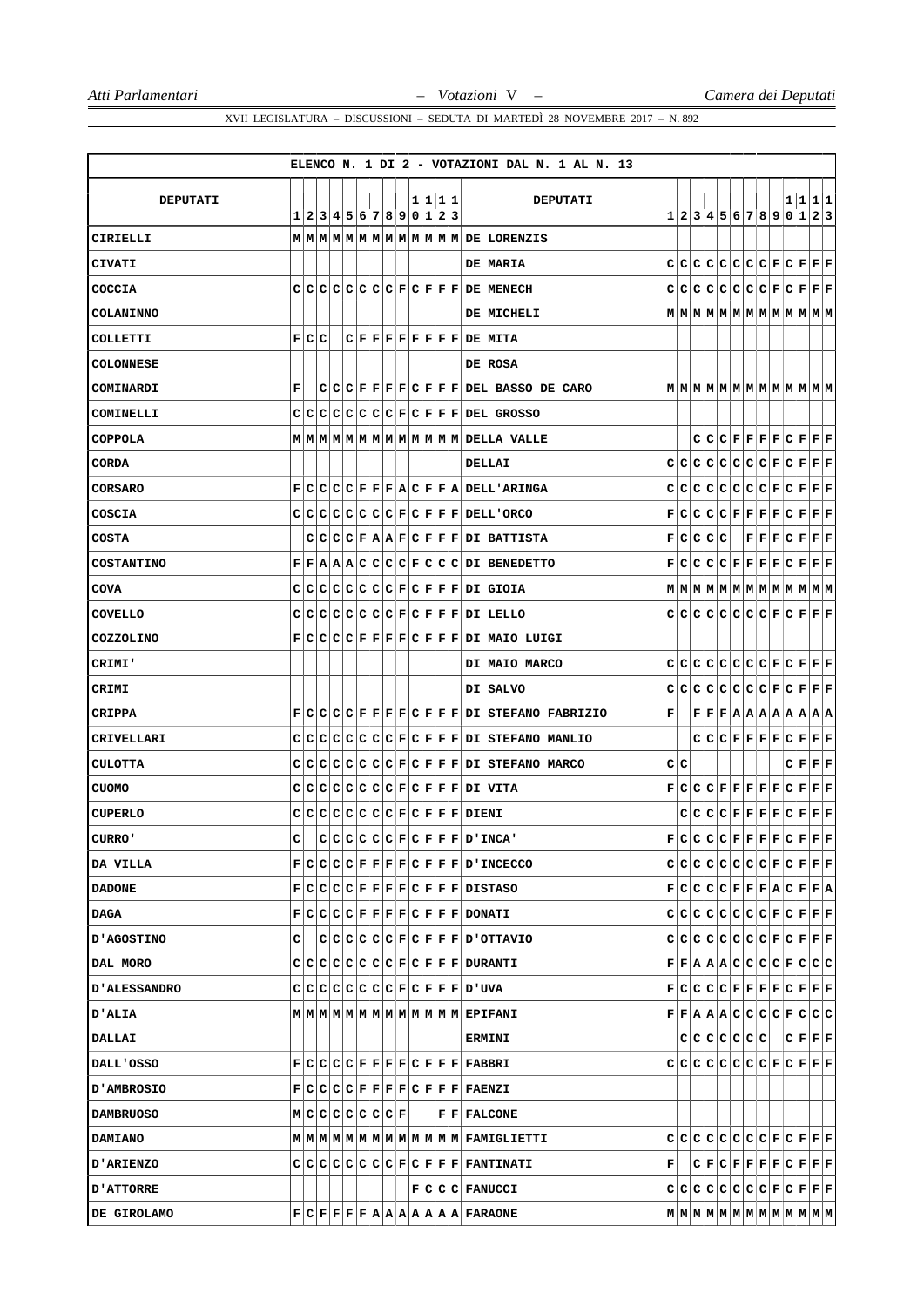|                     |     |                           |  |  |  |  |         | ELENCO N. 1 DI 2 - VOTAZIONI DAL N. 1 AL N. 13 |   |     |  |           |  |  |                                                                                                                                                             |  |
|---------------------|-----|---------------------------|--|--|--|--|---------|------------------------------------------------|---|-----|--|-----------|--|--|-------------------------------------------------------------------------------------------------------------------------------------------------------------|--|
|                     |     |                           |  |  |  |  |         |                                                |   |     |  |           |  |  |                                                                                                                                                             |  |
| <b>DEPUTATI</b>     |     | 1 2 3 4 5 6 7 8 9 0 1 2 3 |  |  |  |  | 1 1 1 1 | <b>DEPUTATI</b>                                |   |     |  |           |  |  | 1 1 1 1<br>1 2 3 4 5 6 7 8 9 0 1 2 3                                                                                                                        |  |
| CIRIELLI            |     |                           |  |  |  |  |         |                                                |   |     |  |           |  |  |                                                                                                                                                             |  |
| CIVATI              |     |                           |  |  |  |  |         | DE MARIA                                       |   |     |  |           |  |  | $C C C C C C C F C F F F F$                                                                                                                                 |  |
| COCCIA              |     |                           |  |  |  |  |         | $C C C C C C C F C F F F DE$ MENECH            |   |     |  |           |  |  | $C C C C C C C F C F F F F$                                                                                                                                 |  |
| <b>COLANINNO</b>    |     |                           |  |  |  |  |         | DE MICHELI                                     |   |     |  |           |  |  |                                                                                                                                                             |  |
| COLLETTI            |     | F C C                     |  |  |  |  |         | $C F F F F F F F F DE$ MITA                    |   |     |  |           |  |  |                                                                                                                                                             |  |
| <b>COLONNESE</b>    |     |                           |  |  |  |  |         | DE ROSA                                        |   |     |  |           |  |  |                                                                                                                                                             |  |
| COMINARDI           | F   |                           |  |  |  |  |         | $C C C F F F C F F F E $ DEL BASSO DE CARO     |   |     |  |           |  |  |                                                                                                                                                             |  |
| COMINELLI           |     |                           |  |  |  |  |         | $C C C C C C C F C F F F E EL$ GROSSO          |   |     |  |           |  |  |                                                                                                                                                             |  |
| <b>COPPOLA</b>      |     |                           |  |  |  |  |         |                                                |   |     |  |           |  |  |                                                                                                                                                             |  |
| <b>CORDA</b>        |     |                           |  |  |  |  |         | DELLAI                                         |   |     |  |           |  |  | $C C C C C C C F C F F F F$                                                                                                                                 |  |
| CORSARO             |     |                           |  |  |  |  |         | F C C C F F F A C F F A DELL'ARTNGA            |   |     |  |           |  |  | $C C C C C C C F C F F F F$                                                                                                                                 |  |
| COSCIA              |     |                           |  |  |  |  |         | $C C C C C C C F C F F F E$ DELL 'ORCO         |   |     |  |           |  |  | $\mathbf{F}[\mathbf{C} \mathbf{C} \mathbf{C} \mathbf{C} \mathbf{F} \mathbf{F} \mathbf{F} \mathbf{F} \mathbf{C} \mathbf{F} \mathbf{F} \mathbf{F}]$           |  |
| <b>COSTA</b>        |     |                           |  |  |  |  |         | $C C C F A A F C F F F DI$ BATTISTA            |   |     |  | F C C C C |  |  | F F F C F F F                                                                                                                                               |  |
| <b>COSTANTINO</b>   |     |                           |  |  |  |  |         | $F F A A A C C C F C C C DI$ BENEDETTO         |   |     |  |           |  |  | $\mathbf{F}[\mathbf{C} \mathbf{C} \mathbf{C} \mathbf{C} \mathbf{F} \mathbf{F} \mathbf{F} \mathbf{F} \mathbf{C} \mathbf{F} \mathbf{F} \mathbf{F}]$           |  |
| <b>COVA</b>         |     |                           |  |  |  |  |         | $C C C C C C C F C F F F DI$ GIOIA             |   |     |  |           |  |  |                                                                                                                                                             |  |
| <b>COVELLO</b>      |     |                           |  |  |  |  |         | $C C C C C C C F C F F F DI$ LELLO             |   |     |  |           |  |  | $C C C C C C C F C F F F F$                                                                                                                                 |  |
| COZZOLINO           | F   |                           |  |  |  |  |         | $ C C C C F F F F C F F F DI$ MAIO LUIGI       |   |     |  |           |  |  |                                                                                                                                                             |  |
| CRIMI'              |     |                           |  |  |  |  |         | DI MAIO MARCO                                  |   |     |  |           |  |  | $C C C C C C C F C F F F F F$                                                                                                                               |  |
| CRIMI               |     |                           |  |  |  |  |         | DI SALVO                                       |   |     |  |           |  |  | $C C C C C C C F C F F F F F$                                                                                                                               |  |
| <b>CRIPPA</b>       | F   |                           |  |  |  |  |         | $C C C F F F F C F F F DI$ STEFANO FABRIZIO    | F |     |  |           |  |  | $\mathbf{F} \mathbf{F} \mathbf{F} \mathbf{A} \mathbf{A} \mathbf{A} \mathbf{A} \mathbf{A} \mathbf{A} \mathbf{A}$                                             |  |
| CRIVELLARI          |     |                           |  |  |  |  |         | $C C C C C C C F C F F F DI$ STEFANO MANLIO    |   |     |  |           |  |  | C C C F F F F C F F F F                                                                                                                                     |  |
| <b>CULOTTA</b>      |     |                           |  |  |  |  |         | $C C C C C C C F C F F F DI$ STEFANO MARCO     |   | C C |  |           |  |  | C F F F                                                                                                                                                     |  |
| <b>CUOMO</b>        |     |                           |  |  |  |  |         | $C C C C C C C F C F F F DI$ VITA              |   |     |  |           |  |  | $\mathbf{F}[\mathbf{C} \mathbf{C} \mathbf{C} \mathbf{F} \mathbf{F} \mathbf{F} \mathbf{F} \mathbf{F} \mathbf{C} \mathbf{F} \mathbf{F} \mathbf{F}]$           |  |
| <b>CUPERLO</b>      |     |                           |  |  |  |  |         | $C C C C C C C F C F F F DIENT$                |   |     |  |           |  |  | C C C F F F F C F F F F F                                                                                                                                   |  |
| CURRO'              | c l |                           |  |  |  |  |         | $C C C C C F C F F F D'INCA'$                  |   |     |  |           |  |  | $\mathbf{F}   \mathbf{C}   \mathbf{C}   \mathbf{C}   \mathbf{F}   \mathbf{F}   \mathbf{F}   \mathbf{F}   \mathbf{C}   \mathbf{F}   \mathbf{F}   \mathbf{F}$ |  |
| DA VILLA            |     |                           |  |  |  |  |         | F C C C F F F F C F F F D'INCECCO              |   |     |  |           |  |  | $C[C[C]C[C]C[C]F[C]F]F$                                                                                                                                     |  |
| <b>DADONE</b>       |     |                           |  |  |  |  |         | F C C C F F F F C F F F DISTASO                |   |     |  |           |  |  | $F[C C C C F F F A C F F A$                                                                                                                                 |  |
| DAGA                |     |                           |  |  |  |  |         | F C C C F F F F C F F F DONATI                 |   |     |  |           |  |  |                                                                                                                                                             |  |
| D'AGOSTINO          | с   |                           |  |  |  |  |         | C C C C C F C F F F D'OTTAVIO                  |   |     |  |           |  |  | $C C C C C C C F C F F F F F$                                                                                                                               |  |
| DAL MORO            |     |                           |  |  |  |  |         | $C C C C C C C F C F F F $ DURANTI             |   |     |  |           |  |  | F F A A A C C C C F C C C                                                                                                                                   |  |
| <b>D'ALESSANDRO</b> |     |                           |  |  |  |  |         | C C C C C C C F C F F F D'UVA                  |   |     |  |           |  |  | $\mathbf{F}[\mathbf{C} \mathbf{C} \mathbf{C} \mathbf{C} \mathbf{F} \mathbf{F} \mathbf{F} \mathbf{F} \mathbf{C} \mathbf{F} \mathbf{F} \mathbf{F}]$           |  |
| <b>D'ALIA</b>       |     |                           |  |  |  |  |         |                                                |   |     |  |           |  |  | $\mathbf{F} \mathbf{F} \mathbf{A} \mathbf{A} \mathbf{A} \mathbf{C} \mathbf{C} \mathbf{C} \mathbf{C} \mathbf{F} \mathbf{C} \mathbf{C} \mathbf{C} $           |  |
| DALLAI              |     |                           |  |  |  |  |         | <b>ERMINI</b>                                  |   |     |  |           |  |  | $C C C C C C $ $ C F F F$                                                                                                                                   |  |
| DALL'OSSO           |     |                           |  |  |  |  |         | $F C C C F F F F C F F F F F$ ABBRI            |   |     |  |           |  |  | $C C C C C C C F C F F F F$                                                                                                                                 |  |
| <b>D'AMBROSIO</b>   |     |                           |  |  |  |  |         | F C C C F F F F C F F F F FARNZI               |   |     |  |           |  |  |                                                                                                                                                             |  |
| <b>DAMBRUOSO</b>    |     | M C C C C C C F           |  |  |  |  |         | $ F F $ FALCONE                                |   |     |  |           |  |  |                                                                                                                                                             |  |
| <b>DAMIANO</b>      |     |                           |  |  |  |  |         |                                                |   |     |  |           |  |  |                                                                                                                                                             |  |
| <b>D'ARIENZO</b>    |     |                           |  |  |  |  |         | C C C C C C C F C F F F F FANTIMATI            | F |     |  |           |  |  |                                                                                                                                                             |  |
| <b>D'ATTORRE</b>    |     |                           |  |  |  |  |         | F C C FANUCCI                                  |   |     |  |           |  |  | $C C C C C C C F C F F F F$                                                                                                                                 |  |
| DE GIROLAMO         |     |                           |  |  |  |  |         | F C F F F A A A A A A A FARAONE                |   |     |  |           |  |  | $\texttt{M} \texttt{M} \texttt{M} \texttt{M} \texttt{M} \texttt{M} \texttt{M} \texttt{M} \texttt{M} \texttt{M} \texttt{M} \texttt{M} $                      |  |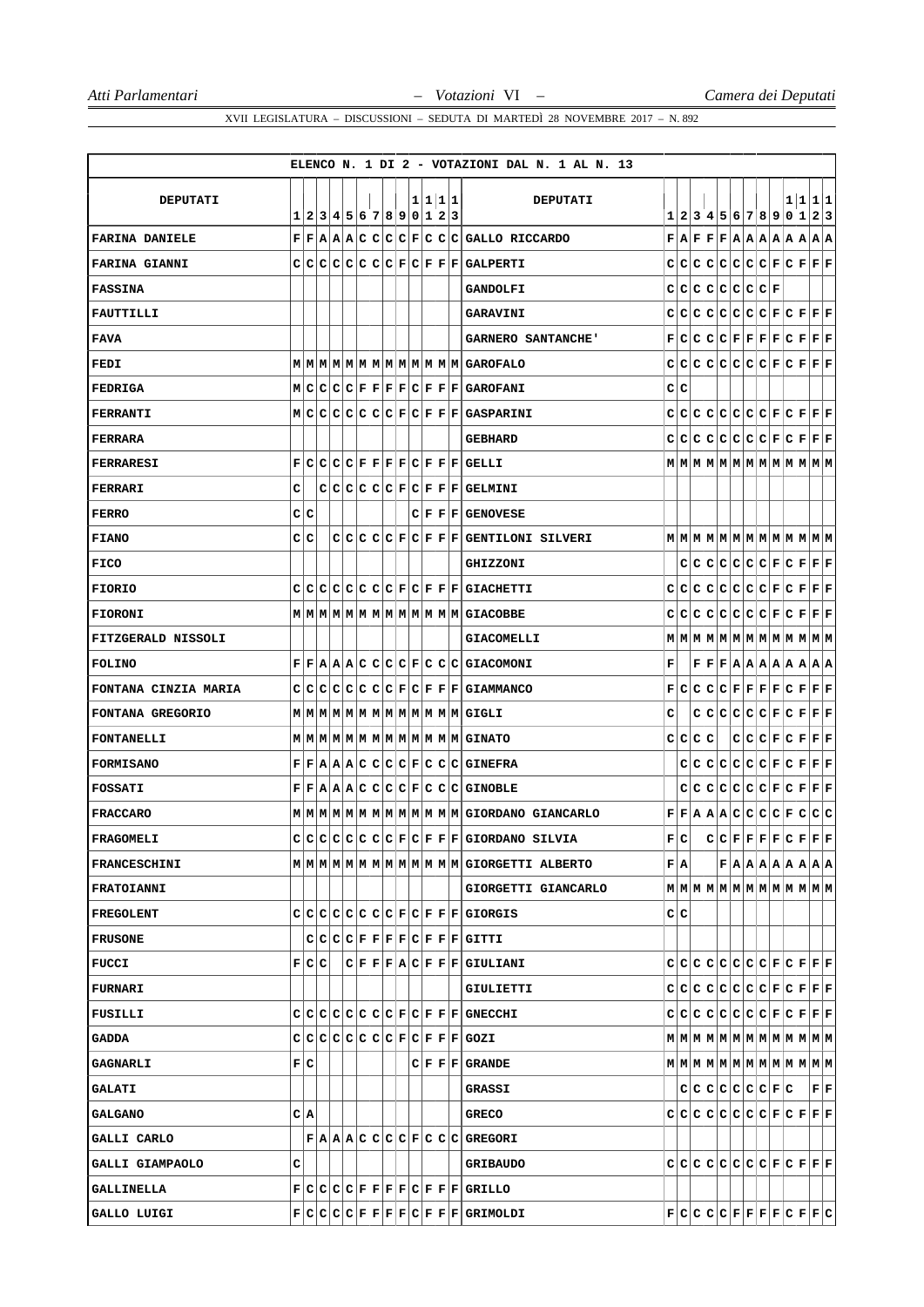|                       |       |  |  |                           |  |  |         | ELENCO N. 1 DI 2 - VOTAZIONI DAL N. 1 AL N. 13 |   |     |         |                     |  |  |                                                                                                                                                             |
|-----------------------|-------|--|--|---------------------------|--|--|---------|------------------------------------------------|---|-----|---------|---------------------|--|--|-------------------------------------------------------------------------------------------------------------------------------------------------------------|
| <b>DEPUTATI</b>       |       |  |  |                           |  |  | 1 1 1 1 | DEPUTATI                                       |   |     |         |                     |  |  | 1 1 1 1                                                                                                                                                     |
|                       |       |  |  | 1 2 3 4 5 6 7 8 9 0 1 2 3 |  |  |         |                                                |   |     |         |                     |  |  | 1 2 3 4 5 6 7 8 9 0 1 2 3                                                                                                                                   |
| <b>FARINA DANIELE</b> |       |  |  |                           |  |  |         | $F F A A C C C F C C G GALLO$ RICCARDO         |   |     |         |                     |  |  | $\mathbf{F}   \mathbf{A}   \mathbf{F}   \mathbf{F}   \mathbf{F}   \mathbf{A}   \mathbf{A}   \mathbf{A}   \mathbf{A}   \mathbf{A}   \mathbf{A}   \mathbf{A}$ |
| <b>FARINA GIANNI</b>  |       |  |  |                           |  |  |         | $C C C C C C C F C F F F GALPERTI$             |   |     |         |                     |  |  | $C C C C C C C F C F F F F F$                                                                                                                               |
| <b>FASSINA</b>        |       |  |  |                           |  |  |         | <b>GANDOLFI</b>                                |   |     |         | $C C C C C C C C F$ |  |  |                                                                                                                                                             |
| FAUTTILLI             |       |  |  |                           |  |  |         | <b>GARAVINI</b>                                |   |     |         |                     |  |  | $C C C C C C C F C F F F F$                                                                                                                                 |
| <b>FAVA</b>           |       |  |  |                           |  |  |         | <b>GARNERO SANTANCHE'</b>                      |   |     |         |                     |  |  | $\mathbf{F}[\mathbf{C} \mathbf{C} \mathbf{C} \mathbf{C} \mathbf{F} \mathbf{F} \mathbf{F} \mathbf{F} \mathbf{C} \mathbf{F} \mathbf{F} \mathbf{F}]$           |
| FEDI                  |       |  |  |                           |  |  |         |                                                |   |     |         |                     |  |  | $C C C C C C C F C F F F F F$                                                                                                                               |
| <b>FEDRIGA</b>        |       |  |  |                           |  |  |         | M C C C F F F F C F F F GAROFANI               |   | C C |         |                     |  |  |                                                                                                                                                             |
| FERRANTI              |       |  |  |                           |  |  |         | MCCCCCCCCCFCFFFGASPARINI                       |   |     |         |                     |  |  | $C C C C C C C F C F F F F F$                                                                                                                               |
| FERRARA               |       |  |  |                           |  |  |         | <b>GEBHARD</b>                                 |   |     |         |                     |  |  | $C C C C C C C F C F F F F F$                                                                                                                               |
| <b>FERRARESI</b>      | F     |  |  |                           |  |  |         | $C C C C F F F F C F F F GELLLI$               |   |     |         |                     |  |  |                                                                                                                                                             |
| FERRARI               | с     |  |  |                           |  |  |         | $C C C C C F C F F F GELMINI$                  |   |     |         |                     |  |  |                                                                                                                                                             |
| <b>FERRO</b>          | C C   |  |  |                           |  |  |         | $C F F F $ GENOVESE                            |   |     |         |                     |  |  |                                                                                                                                                             |
| FIANO                 | C C   |  |  |                           |  |  |         | $C C C C F C F F F GENTILONI$ SILVERI          |   |     |         |                     |  |  | $M$   $M$   $M$   $M$   $M$   $M$   $M$   $M$   $M$   $M$   $M$   $M$                                                                                       |
| <b>FICO</b>           |       |  |  |                           |  |  |         | <b>GHIZZONI</b>                                |   |     |         |                     |  |  | C C C C C C F C F F F F                                                                                                                                     |
| <b>FIORIO</b>         |       |  |  |                           |  |  |         | $C C C C C C C F C F F F GIACHETTI$            |   |     |         |                     |  |  | $C C C C C C C F C F F F F$                                                                                                                                 |
| <b>FIORONI</b>        |       |  |  |                           |  |  |         | MMMMMMMMMMMMMMMMGIACOBBE                       |   |     |         |                     |  |  | $C C C C C C C F C F F F F F$                                                                                                                               |
| FITZGERALD NISSOLI    |       |  |  |                           |  |  |         | <b>GIACOMELLI</b>                              |   |     |         |                     |  |  | $\texttt{M} \texttt{M} \texttt{M} \texttt{M} \texttt{M} \texttt{M} \texttt{M} \texttt{M} \texttt{M} \texttt{M} \texttt{M} \texttt{M}$                       |
| <b>FOLINO</b>         |       |  |  |                           |  |  |         | F F A A C C C C F C C C G1ACOMONI              | F |     |         |                     |  |  | $\mathbf{F} \mathbf{F} \mathbf{F} \mathbf{A} \mathbf{A} \mathbf{A} \mathbf{A} \mathbf{A} \mathbf{A} \mathbf{A}$                                             |
| FONTANA CINZIA MARIA  |       |  |  |                           |  |  |         | $C C C C C C C F C F F F GIAMMANCO$            |   |     |         |                     |  |  | $\mathbf{F}[\mathbf{C} \mathbf{C} \mathbf{C} \mathbf{C} \mathbf{F} \mathbf{F} \mathbf{F} \mathbf{F} \mathbf{C} \mathbf{F} \mathbf{F} \mathbf{F}]$           |
| FONTANA GREGORIO      |       |  |  |                           |  |  |         |                                                | c |     |         |                     |  |  | $C C C C C F C F F F F F$                                                                                                                                   |
| <b>FONTANELLI</b>     |       |  |  |                           |  |  |         | MMMMMMMMMMMMMMMGINATO                          |   |     | C C C C |                     |  |  | $C C C F C F F F F$                                                                                                                                         |
| <b>FORMISANO</b>      |       |  |  |                           |  |  |         | $F F A A C C C C F C C C G $ GINEFRA           |   |     |         |                     |  |  | C[C[C]C[C]E[C]F]F F F                                                                                                                                       |
| <b>FOSSATI</b>        |       |  |  |                           |  |  |         | F F A A A C C C F C C C G GNOBLE               |   |     |         |                     |  |  | C C C C C C F C F F F F                                                                                                                                     |
| <b>FRACCARO</b>       |       |  |  |                           |  |  |         |                                                |   |     |         |                     |  |  | F F A A A C C C C F C C C                                                                                                                                   |
| FRAGOMELI             |       |  |  |                           |  |  |         | $c c c c c c c F c F F F $ GIORDANO SILVIA     |   | F C |         |                     |  |  |                                                                                                                                                             |
| <b>FRANCESCHINI</b>   |       |  |  |                           |  |  |         |                                                |   | F A |         |                     |  |  | F A A A A A A A A                                                                                                                                           |
| <b>FRATOIANNI</b>     |       |  |  |                           |  |  |         | GIORGETTI GIANCARLO                            |   |     |         |                     |  |  |                                                                                                                                                             |
| <b>FREGOLENT</b>      |       |  |  |                           |  |  |         | $C C C C C C C F C F F F GIORGIS$              |   | C C |         |                     |  |  |                                                                                                                                                             |
| <b>FRUSONE</b>        |       |  |  |                           |  |  |         | C C C F F F F C F F F GITTI                    |   |     |         |                     |  |  |                                                                                                                                                             |
| <b>FUCCI</b>          | F C C |  |  |                           |  |  |         | C F F A C F F F GIULIANI                       |   |     |         |                     |  |  |                                                                                                                                                             |
| <b>FURNARI</b>        |       |  |  |                           |  |  |         | GIULIETTI                                      |   |     |         |                     |  |  | $C C C C C C C F C F F F F F$                                                                                                                               |
| FUSILLI               |       |  |  |                           |  |  |         | $C C C C C C C F C F F F GNECCHI$              |   |     |         |                     |  |  | $C C C C C C C F C F F F F F$                                                                                                                               |
| <b>GADDA</b>          |       |  |  |                           |  |  |         | $C C C C C C C F C F F F G0ZI$                 |   |     |         |                     |  |  |                                                                                                                                                             |
| <b>GAGNARLI</b>       | F C   |  |  |                           |  |  |         | $C F F F $ GRANDE                              |   |     |         |                     |  |  | $\texttt{M} \texttt{M} \texttt{M} \texttt{M} \texttt{M} \texttt{M} \texttt{M} \texttt{M} \texttt{M} \texttt{M} \texttt{M} \texttt{M} $                      |
| <b>GALATI</b>         |       |  |  |                           |  |  |         | <b>GRASSI</b>                                  |   |     |         | C C C C C C F C     |  |  | $ {\bf F} {\bf F} $                                                                                                                                         |
| <b>GALGANO</b>        | C A   |  |  |                           |  |  |         | GRECO                                          |   |     |         |                     |  |  | $C C C C C C C F C F F F F F$                                                                                                                               |
| GALLI CARLO           |       |  |  |                           |  |  |         | $F A A C C C F C C C G $ GREGORI               |   |     |         |                     |  |  |                                                                                                                                                             |
| GALLI GIAMPAOLO       | c     |  |  |                           |  |  |         | <b>GRIBAUDO</b>                                |   |     |         |                     |  |  | $C C C C C C C F C F F F F$                                                                                                                                 |
| GALLINELLA            |       |  |  |                           |  |  |         | F C C C F F F F C F F F GRILLO                 |   |     |         |                     |  |  |                                                                                                                                                             |
| GALLO LUIGI           |       |  |  |                           |  |  |         | F C C C F F F F C F F F GRIMOLDI               |   |     |         |                     |  |  | $\mathbf{F} \mathbf{C} \mathbf{C} \mathbf{C} \mathbf{C} \mathbf{F} \mathbf{F} \mathbf{F} \mathbf{F} \mathbf{C} \mathbf{F} \mathbf{F} \mathbf{C} $           |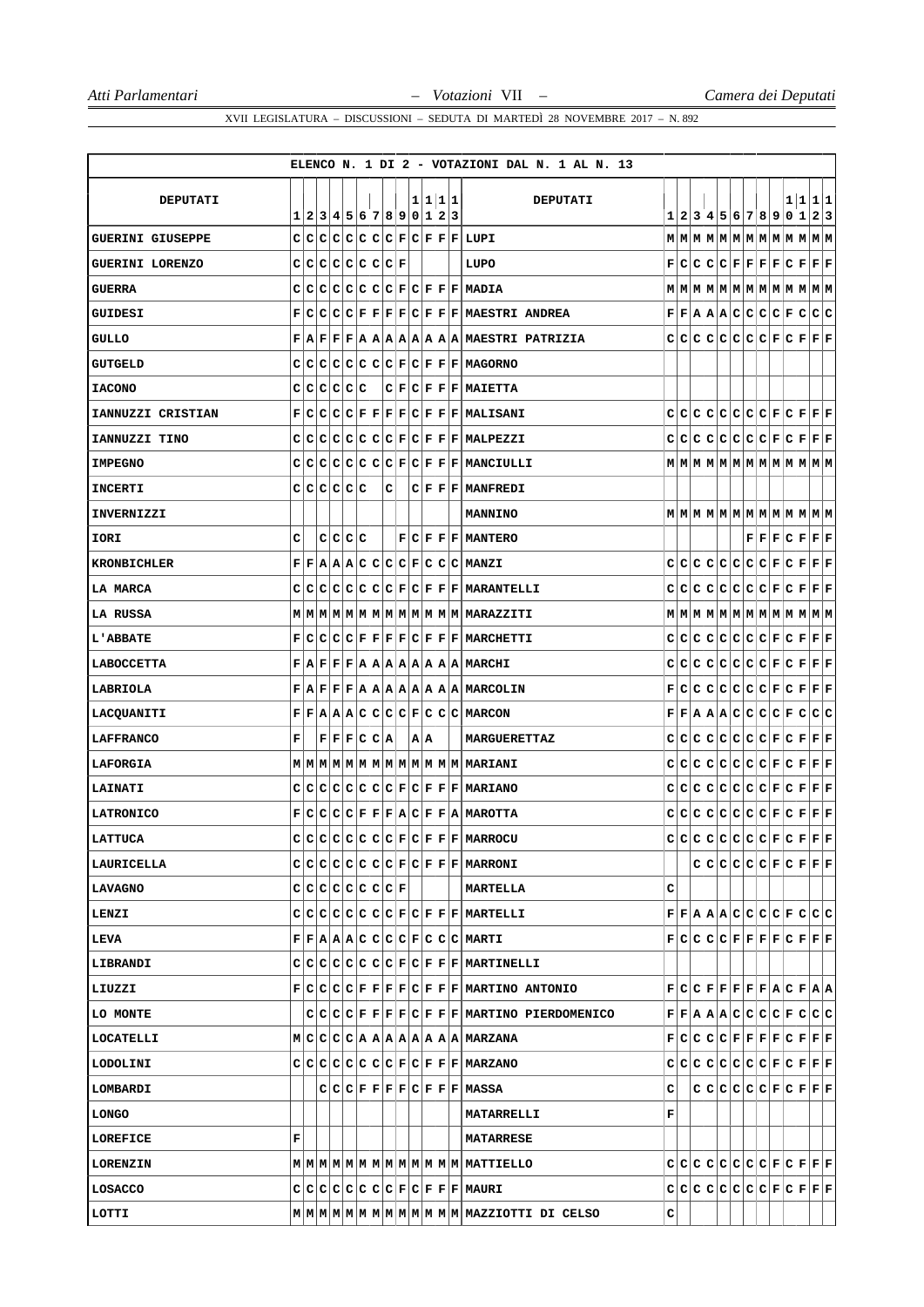|                         |   |             |         |                           |   |     |  |         | ELENCO N. 1 DI 2 - VOTAZIONI DAL N. 1 AL N. 13                  |   |  |  |  |  |  |                                                                                                                                                                                        |
|-------------------------|---|-------------|---------|---------------------------|---|-----|--|---------|-----------------------------------------------------------------|---|--|--|--|--|--|----------------------------------------------------------------------------------------------------------------------------------------------------------------------------------------|
|                         |   |             |         |                           |   |     |  |         |                                                                 |   |  |  |  |  |  |                                                                                                                                                                                        |
| DEPUTATI                |   |             |         | 1 2 3 4 5 6 7 8 9 0 1 2 3 |   |     |  | 1 1 1 1 | DEPUTATI                                                        |   |  |  |  |  |  | 1 1 1 1<br>1 2 3 4 5 6 7 8 9 0 1 2 3                                                                                                                                                   |
| <b>GUERINI GIUSEPPE</b> |   |             |         |                           |   |     |  |         | $C C C C C C C F C F F F LUPI$                                  |   |  |  |  |  |  |                                                                                                                                                                                        |
| GUERINI LORENZO         |   |             |         | $C C C C C C C F$         |   |     |  |         | LUPO                                                            |   |  |  |  |  |  | $\mathbf{F}[\mathbf{C} \mathbf{C} \mathbf{C} \mathbf{C} \mathbf{F} \mathbf{F} \mathbf{F} \mathbf{F} \mathbf{C} \mathbf{F} \mathbf{F} \mathbf{F}]$                                      |
| <b>GUERRA</b>           |   |             |         |                           |   |     |  |         | $C C C C C C C F C F F F MADIA$                                 |   |  |  |  |  |  | $M$   $M$   $M$   $M$   $M$   $M$   $M$   $M$   $M$   $M$   $M$   $M$                                                                                                                  |
| GUIDESI                 |   |             |         |                           |   |     |  |         | $F C C C F F F F C F F F $ MAESTRI ANDREA                       |   |  |  |  |  |  | $\mathbf{F} \mathbf{F} \mathbf{A} \mathbf{A} \mathbf{A} \mathbf{C} \mathbf{C} \mathbf{C} \mathbf{F} \mathbf{C} \mathbf{C} \mathbf{C}$                                                  |
| <b>GULLO</b>            |   |             |         |                           |   |     |  |         | $F A F F R A A A A A A A A MAESTRI$ PATRIZIA                    |   |  |  |  |  |  | $C C C C C C C F C F F F F F$                                                                                                                                                          |
| GUTGELD                 |   |             |         |                           |   |     |  |         | $C C C C C C C F C F F F HAGORNO$                               |   |  |  |  |  |  |                                                                                                                                                                                        |
| <b>IACONO</b>           |   | C C C C C C |         |                           |   |     |  |         | $C F C F F F $ MAIETTA                                          |   |  |  |  |  |  |                                                                                                                                                                                        |
| IANNUZZI CRISTIAN       |   |             |         |                           |   |     |  |         | $F C C C F F F F C F F F $ MALISANI                             |   |  |  |  |  |  | $C C C C C C C F C F F F F F$                                                                                                                                                          |
| IANNUZZI TINO           |   |             |         |                           |   |     |  |         | $C C C C C C C F C F F F $ MALPEZZI                             |   |  |  |  |  |  | $\begin{array}{c} C C C C C C C F C F F F F \end{array}$                                                                                                                               |
| <b>IMPEGNO</b>          |   |             |         |                           |   |     |  |         | $C C C C C C C F C F F F $ MANCIULLI                            |   |  |  |  |  |  |                                                                                                                                                                                        |
| <b>INCERTI</b>          |   | c c c c c c |         |                           | с |     |  |         | $C F F F $ MANFREDI                                             |   |  |  |  |  |  |                                                                                                                                                                                        |
| <b>INVERNIZZI</b>       |   |             |         |                           |   |     |  |         | <b>MANNINO</b>                                                  |   |  |  |  |  |  |                                                                                                                                                                                        |
| IORI                    | c |             | c c c c |                           |   |     |  |         | $F C F F F $ MANTERO                                            |   |  |  |  |  |  | $\mathbf{F} \mathbf{F} \mathbf{F} \mathbf{C} \mathbf{F} \mathbf{F} \mathbf{F}$                                                                                                         |
| <b>KRONBICHLER</b>      |   |             |         |                           |   |     |  |         | $F F A A A C C C C F C C C $ MANZI                              |   |  |  |  |  |  | $C[C[C]C[C]C[C]F[C]F]F[F]$                                                                                                                                                             |
| LA MARCA                |   |             |         |                           |   |     |  |         | $C C C C C C C F C F F F $ MARANTELLI                           |   |  |  |  |  |  | $\begin{array}{c} C C C C C C C F C F F F F \end{array}$                                                                                                                               |
| LA RUSSA                |   |             |         |                           |   |     |  |         |                                                                 |   |  |  |  |  |  | $M$   M $ M$   M $ M$   M $ M$   M $ M$   M $ M$   M $ M$   M $ M$                                                                                                                     |
| <b>L'ABBATE</b>         |   |             |         |                           |   |     |  |         | F C C C F F F F C F F F MARCHETTI                               |   |  |  |  |  |  | $C[C[C]C[C]C[C]F[C]F]F[F]$                                                                                                                                                             |
| <b>LABOCCETTA</b>       |   |             |         |                           |   |     |  |         | $F   A   F   F   F   A   A   A   A   A   A   A   A   M R C H I$ |   |  |  |  |  |  | $\mathbf{C} \vert \mathbf{C} \vert \mathbf{C} \vert \mathbf{C} \vert \mathbf{C} \vert \mathbf{C} \vert \mathbf{C} \vert \mathbf{F} \vert \mathbf{F} \vert \mathbf{F} \vert \mathbf{F}$ |
| LABRIOLA                |   |             |         |                           |   |     |  |         | F A F F F A A A A A A A A MARCOLIN                              |   |  |  |  |  |  | F[C C C C C C F C F F F]                                                                                                                                                               |
| LACQUANITI              |   |             |         |                           |   |     |  |         | F F A A A C C C F C C C MARCON                                  |   |  |  |  |  |  | $\mathbf{F} \mathbf{F} \mathbf{A} \mathbf{A} \mathbf{A} \mathbf{C} \mathbf{C} \mathbf{C} \mathbf{F} \mathbf{C} \mathbf{C} \mathbf{C}$                                                  |
| LAFFRANCO               | F |             |         | F F F C C A               |   | A A |  |         | <b>MARGUERETTAZ</b>                                             |   |  |  |  |  |  | $C C C C C C C F C F F F F$                                                                                                                                                            |
| LAFORGIA                |   |             |         |                           |   |     |  |         | MMMMMMMMMMMMMMMMMARIANI                                         |   |  |  |  |  |  | $\begin{array}{c} C C C C C C C F C F F F F \end{array}$                                                                                                                               |
| <b>LAINATI</b>          |   |             |         |                           |   |     |  |         | $C C C C C C C F C F F F $ MARIANO                              |   |  |  |  |  |  | $\begin{array}{c} C C C C C C C F C F F F F \end{array}$                                                                                                                               |
| LATRONICO               |   |             |         |                           |   |     |  |         | F C C C F F F A C F F A MAROTTA                                 |   |  |  |  |  |  | $C C C C C C C F C F F F F$                                                                                                                                                            |
| LATTUCA                 |   |             |         |                           |   |     |  |         | $C C C C C C C F C F F F $ Marrocu                              |   |  |  |  |  |  | $c c c c c c c c F c F F F F F$                                                                                                                                                        |
| LAURICELLA              |   |             |         |                           |   |     |  |         | CCCCCCCCCCCFCFFFMARRONI                                         |   |  |  |  |  |  | CCCCCCCFCFFF                                                                                                                                                                           |
| LAVAGNO                 |   |             |         | $C C C C C C C F $        |   |     |  |         | MARTELLA                                                        | с |  |  |  |  |  |                                                                                                                                                                                        |
| LENZI                   |   |             |         |                           |   |     |  |         | $C C C C C C C F C F F F $ MARTELLI                             |   |  |  |  |  |  | F[F A A A C C C C F C C C                                                                                                                                                              |
| LEVA                    |   |             |         |                           |   |     |  |         | F F A A C C C C F C C C MARTI                                   |   |  |  |  |  |  | $\mathbf{F}[\mathbf{C} \mathbf{C} \mathbf{C} \mathbf{C} \mathbf{F} \mathbf{F} \mathbf{F} \mathbf{F} \mathbf{C} \mathbf{F} \mathbf{F} \mathbf{F}]$                                      |
| LIBRANDI                |   |             |         |                           |   |     |  |         | $C C C C C C C F C F F F $ MARTINELLI                           |   |  |  |  |  |  |                                                                                                                                                                                        |
| LIUZZI                  |   |             |         |                           |   |     |  |         | $F C C C F F F F C F F F $ MARTINO ANTONIO                      |   |  |  |  |  |  | $F[C C F F F F F A C F A A$                                                                                                                                                            |
| LO MONTE                |   |             |         |                           |   |     |  |         | $C C C F F F F C F F F $ MARTINO PIERDOMENICO                   |   |  |  |  |  |  | F F A A A C C C C F C C C                                                                                                                                                              |
| LOCATELLI               |   |             |         |                           |   |     |  |         | M C C C C A A A A A A A A MARZANA                               |   |  |  |  |  |  | $\mathbf{F}[\mathbf{C} \mathbf{C} \mathbf{C} \mathbf{C} \mathbf{F} \mathbf{F} \mathbf{F} \mathbf{F} \mathbf{C} \mathbf{F} \mathbf{F} \mathbf{F}]$                                      |
| <b>LODOLINI</b>         |   |             |         |                           |   |     |  |         | $C C C C C C C F C F F F $ MARZANO                              |   |  |  |  |  |  | $C C C C C C C F C F F F F F$                                                                                                                                                          |
| <b>LOMBARDI</b>         |   |             |         |                           |   |     |  |         | C C C F F F F C F F F MASSA                                     | с |  |  |  |  |  | $C C C C C F C F F F F$                                                                                                                                                                |
| <b>LONGO</b>            |   |             |         |                           |   |     |  |         | MATARRELLI                                                      | F |  |  |  |  |  |                                                                                                                                                                                        |
| LOREFICE                | F |             |         |                           |   |     |  |         | <b>MATARRESE</b>                                                |   |  |  |  |  |  |                                                                                                                                                                                        |
| <b>LORENZIN</b>         |   |             |         |                           |   |     |  |         |                                                                 |   |  |  |  |  |  | $\begin{array}{c} C C C C C C C F C F F F F \end{array}$                                                                                                                               |
| LOSACCO                 |   |             |         |                           |   |     |  |         | $C C C C C C C F C F F F $ MAURI                                |   |  |  |  |  |  |                                                                                                                                                                                        |
| LOTTI                   |   |             |         |                           |   |     |  |         |                                                                 | с |  |  |  |  |  |                                                                                                                                                                                        |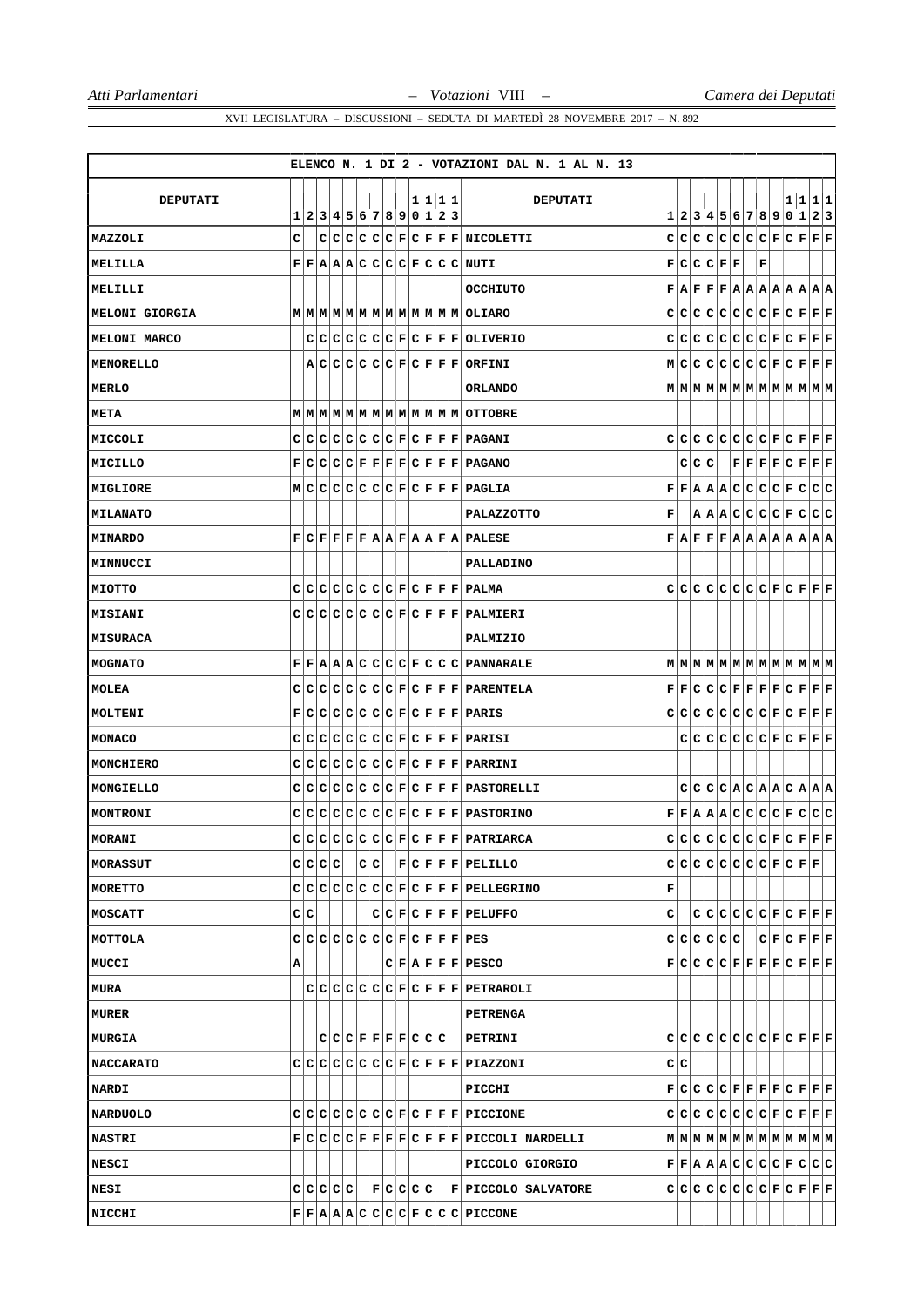|                  |     |         |           |                           |  |  |         | ELENCO N. 1 DI 2 - VOTAZIONI DAL N. 1 AL N. 13                                                                                                       |   |     |       |             |   |  |                 |                                                                                                                                                                                                                                                                                                                                                                                               |
|------------------|-----|---------|-----------|---------------------------|--|--|---------|------------------------------------------------------------------------------------------------------------------------------------------------------|---|-----|-------|-------------|---|--|-----------------|-----------------------------------------------------------------------------------------------------------------------------------------------------------------------------------------------------------------------------------------------------------------------------------------------------------------------------------------------------------------------------------------------|
| <b>DEPUTATI</b>  |     |         |           |                           |  |  | 1 1 1 1 | DEPUTATI                                                                                                                                             |   |     |       |             |   |  |                 | 1 1 1 1                                                                                                                                                                                                                                                                                                                                                                                       |
|                  |     |         |           | 1 2 3 4 5 6 7 8 9 0 1 2 3 |  |  |         |                                                                                                                                                      |   |     |       |             |   |  |                 | 1 2 3 4 5 6 7 8 9 0 1 2 3                                                                                                                                                                                                                                                                                                                                                                     |
| MAZZOLI          | c   |         |           |                           |  |  |         | C C C C C F C F F F NICOLETTI                                                                                                                        |   |     |       |             |   |  |                 | $C C C C C C C F C F F F F$                                                                                                                                                                                                                                                                                                                                                                   |
| MELILLA          |     |         |           |                           |  |  |         | F F A A A C C C C F C C C NUTI                                                                                                                       |   |     |       | F C C F F   | F |  |                 |                                                                                                                                                                                                                                                                                                                                                                                               |
| MELILLI          |     |         |           |                           |  |  |         | <b>OCCHIUTO</b>                                                                                                                                      |   |     |       |             |   |  |                 | $\mathbf{F}   \mathbf{A}   \mathbf{F}   \mathbf{F}   \mathbf{F}   \mathbf{A}   \mathbf{A}   \mathbf{A}   \mathbf{A}   \mathbf{A}   \mathbf{A}   \mathbf{A}$                                                                                                                                                                                                                                   |
| MELONI GIORGIA   |     |         |           |                           |  |  |         | MMMMMMMMMMMMMMMOLIARO                                                                                                                                |   |     |       |             |   |  |                 | $C C C C C C C F C F F F F F$                                                                                                                                                                                                                                                                                                                                                                 |
| MELONI MARCO     |     |         |           |                           |  |  |         | C C C C C C F C F F F DLIVERIO                                                                                                                       |   |     |       |             |   |  |                 | $C C C C C C C F C F F F F$                                                                                                                                                                                                                                                                                                                                                                   |
| MENORELLO        |     |         |           |                           |  |  |         | A C C C C C F C F F F ORFINI                                                                                                                         |   |     |       |             |   |  |                 | M C C C C C C F C F F F F                                                                                                                                                                                                                                                                                                                                                                     |
| <b>MERLO</b>     |     |         |           |                           |  |  |         | ORLANDO                                                                                                                                              |   |     |       |             |   |  |                 | $\texttt{M} \texttt{M} \texttt{M} \texttt{M} \texttt{M} \texttt{M} \texttt{M} \texttt{M} \texttt{M} \texttt{M} \texttt{M} \texttt{M}$                                                                                                                                                                                                                                                         |
| META             |     |         |           |                           |  |  |         |                                                                                                                                                      |   |     |       |             |   |  |                 |                                                                                                                                                                                                                                                                                                                                                                                               |
| MICCOLI          |     |         |           |                           |  |  |         | C C C C C C C F C F F F F PAGANT                                                                                                                     |   |     |       |             |   |  |                 | $C C C C C C C F C F F F F F$                                                                                                                                                                                                                                                                                                                                                                 |
| MICILLO          |     |         |           |                           |  |  |         | F C C C F F F F C F F F PAGANO                                                                                                                       |   |     | C C C |             |   |  |                 | $\bf  F F F F C F F F$                                                                                                                                                                                                                                                                                                                                                                        |
| MIGLIORE         |     |         |           |                           |  |  |         | M C C C C C C F C F F F PAGLIA                                                                                                                       |   |     |       |             |   |  |                 | F F A A A C C C C F C C C                                                                                                                                                                                                                                                                                                                                                                     |
| <b>MILANATO</b>  |     |         |           |                           |  |  |         | PALAZZOTTO                                                                                                                                           | F |     |       |             |   |  |                 | A A C C C C F C C C                                                                                                                                                                                                                                                                                                                                                                           |
| <b>MINARDO</b>   | F   |         |           |                           |  |  |         | C F F F A A F A A F A PALESE                                                                                                                         |   |     |       |             |   |  |                 | $\mathbf{F}   \mathbf{A}   \mathbf{F}   \mathbf{F}   \mathbf{F}   \mathbf{A}   \mathbf{A}   \mathbf{A}   \mathbf{A}   \mathbf{A}   \mathbf{A}   \mathbf{A}$                                                                                                                                                                                                                                   |
| MINNUCCI         |     |         |           |                           |  |  |         | <b>PALLADINO</b>                                                                                                                                     |   |     |       |             |   |  |                 |                                                                                                                                                                                                                                                                                                                                                                                               |
| MIOTTO           |     |         |           |                           |  |  |         | $C C C C C C C F C F F F PALMA$                                                                                                                      |   |     |       |             |   |  |                 | $C C C C C C C F C F F F F F$                                                                                                                                                                                                                                                                                                                                                                 |
| <b>MISIANI</b>   |     |         |           |                           |  |  |         | C C C C C C F C F F F F PALMIERI                                                                                                                     |   |     |       |             |   |  |                 |                                                                                                                                                                                                                                                                                                                                                                                               |
| <b>MISURACA</b>  |     |         |           |                           |  |  |         | <b>PALMIZIO</b>                                                                                                                                      |   |     |       |             |   |  |                 |                                                                                                                                                                                                                                                                                                                                                                                               |
| <b>MOGNATO</b>   |     |         |           |                           |  |  |         | F F A A A C C C C F C C C PANNARALE                                                                                                                  |   |     |       |             |   |  |                 |                                                                                                                                                                                                                                                                                                                                                                                               |
| MOLEA            |     |         |           |                           |  |  |         | C C C C C C C F C F F F P PARENTELA                                                                                                                  |   |     |       |             |   |  |                 | $\mathbf{F} \,   \, \mathbf{F} \,   \, \mathbf{C} \,   \, \mathbf{C} \,   \, \mathbf{C} \,   \, \mathbf{F} \,   \, \mathbf{F} \,   \, \mathbf{F} \,   \, \mathbf{F} \,   \, \mathbf{F} \,   \, \mathbf{F} \,   \, \mathbf{F} \,   \, \mathbf{F} \,   \, \mathbf{F} \,   \, \mathbf{F} \,   \, \mathbf{F} \,   \, \mathbf{F} \,   \, \mathbf{F} \,   \, \mathbf{F} \,   \, \mathbf{F} \,   \,$ |
| MOLTENI          |     |         |           |                           |  |  |         | F C C C C C C F C F F F PARIS                                                                                                                        |   |     |       |             |   |  |                 | $C C C C C C C F C F F F F F$                                                                                                                                                                                                                                                                                                                                                                 |
| MONACO           |     |         |           |                           |  |  |         | C C C C C C C F C F F F PARISI                                                                                                                       |   |     |       |             |   |  |                 | C C C C C C F C F F F F                                                                                                                                                                                                                                                                                                                                                                       |
| MONCHIERO        |     |         |           |                           |  |  |         | $C C C C C C C F C F F F F PARRINI$                                                                                                                  |   |     |       |             |   |  |                 |                                                                                                                                                                                                                                                                                                                                                                                               |
| MONGIELLO        |     |         |           |                           |  |  |         | C C C C C C F C F F F F PASTORELLI                                                                                                                   |   |     |       |             |   |  |                 | C C C A C A A C A A A                                                                                                                                                                                                                                                                                                                                                                         |
| <b>MONTRONI</b>  |     |         |           |                           |  |  |         | c c c c c c c F c F F F F PASTORINO                                                                                                                  |   |     |       |             |   |  |                 | F F A A A C C C C F C C C                                                                                                                                                                                                                                                                                                                                                                     |
| MORANI           |     |         |           |                           |  |  |         | $ c c c c c c c F c F F F F $ Patriarca                                                                                                              |   |     |       |             |   |  |                 |                                                                                                                                                                                                                                                                                                                                                                                               |
| MORASSUT         |     | c c c c |           |                           |  |  |         | $C C $ $ F C F F F PELILLO$                                                                                                                          |   |     |       |             |   |  | cccccccccccrcrc |                                                                                                                                                                                                                                                                                                                                                                                               |
| MORETTO          |     |         |           |                           |  |  |         | $C C C C C C C F C F F F $ PELLEGRINO                                                                                                                | F |     |       |             |   |  |                 |                                                                                                                                                                                                                                                                                                                                                                                               |
| MOSCATT          | C C |         |           |                           |  |  |         | $C C F C F F F F$ PELUFFO                                                                                                                            | с |     |       |             |   |  |                 | $C C C C C F C F F F F F$                                                                                                                                                                                                                                                                                                                                                                     |
| MOTTOLA          |     |         |           |                           |  |  |         | $C C C C C C C F C F F F F FES$                                                                                                                      |   |     |       | c c c c c c |   |  |                 | C F C F F F                                                                                                                                                                                                                                                                                                                                                                                   |
| MUCCI            | А   |         |           |                           |  |  |         | $ C F A F F F F$ PESCO                                                                                                                               |   |     |       |             |   |  |                 | $\mathbf{F}[\mathbf{C} \mathbf{C} \mathbf{C} \mathbf{C} \mathbf{F} \mathbf{F} \mathbf{F} \mathbf{F} \mathbf{C} \mathbf{F} \mathbf{F} \mathbf{F}]$                                                                                                                                                                                                                                             |
| MURA             |     |         |           |                           |  |  |         | $C C C C C C F C F F F $ PETRAROLI                                                                                                                   |   |     |       |             |   |  |                 |                                                                                                                                                                                                                                                                                                                                                                                               |
| <b>MURER</b>     |     |         |           |                           |  |  |         | <b>PETRENGA</b>                                                                                                                                      |   |     |       |             |   |  |                 |                                                                                                                                                                                                                                                                                                                                                                                               |
| MURGIA           |     |         |           | $C C C F F F F C C C $    |  |  |         | PETRINI                                                                                                                                              |   |     |       |             |   |  |                 | $C C C C C C C C F C F F F F F$                                                                                                                                                                                                                                                                                                                                                               |
| <b>NACCARATO</b> |     |         |           |                           |  |  |         | C C C C C C C F C F F F F PIAZZONI                                                                                                                   |   | C C |       |             |   |  |                 |                                                                                                                                                                                                                                                                                                                                                                                               |
| <b>NARDI</b>     |     |         |           |                           |  |  |         | PICCHI                                                                                                                                               |   |     |       |             |   |  |                 | $\mathbf{F}[\mathbf{C} \mathbf{C} \mathbf{C} \mathbf{C} \mathbf{F} \mathbf{F} \mathbf{F} \mathbf{F} \mathbf{C} \mathbf{F} \mathbf{F} \mathbf{F}]$                                                                                                                                                                                                                                             |
| <b>NARDUOLO</b>  |     |         |           |                           |  |  |         | $C C C C C C C F C F F F F {\rm P}ICCIONE$                                                                                                           |   |     |       |             |   |  |                 |                                                                                                                                                                                                                                                                                                                                                                                               |
| <b>NASTRI</b>    |     |         |           |                           |  |  |         | $F C C C F F F F C F F F P1CCOLI$ NARDELLI                                                                                                           |   |     |       |             |   |  |                 | $\texttt{M} \texttt{M} \texttt{M} \texttt{M} \texttt{M} \texttt{M} \texttt{M} \texttt{M} \texttt{M} \texttt{M} \texttt{M} \texttt{M} \texttt{M}$                                                                                                                                                                                                                                              |
| <b>NESCI</b>     |     |         |           |                           |  |  |         | PICCOLO GIORGIO                                                                                                                                      |   |     |       |             |   |  |                 | $\mathbf{F} \mathbf{F} \mathbf{A} \mathbf{A} \mathbf{C} \mathbf{C} \mathbf{C} \mathbf{C} \mathbf{F} \mathbf{C} \mathbf{C} $                                                                                                                                                                                                                                                                   |
| NESI             |     |         | C C C C C | F C C C C                 |  |  |         | $ F $ PICCOLO SALVATORE                                                                                                                              |   |     |       |             |   |  |                 | $C C C C C C C F C F F F F F$                                                                                                                                                                                                                                                                                                                                                                 |
| NICCHI           |     |         |           |                           |  |  |         | $\mathbf{F} \mathbf{F} \mathbf{A} \mathbf{A} \mathbf{C} \mathbf{C} \mathbf{C} \mathbf{C} \mathbf{F} \mathbf{C} \mathbf{C} \mathbf{P}\mathbf{ICCONE}$ |   |     |       |             |   |  |                 |                                                                                                                                                                                                                                                                                                                                                                                               |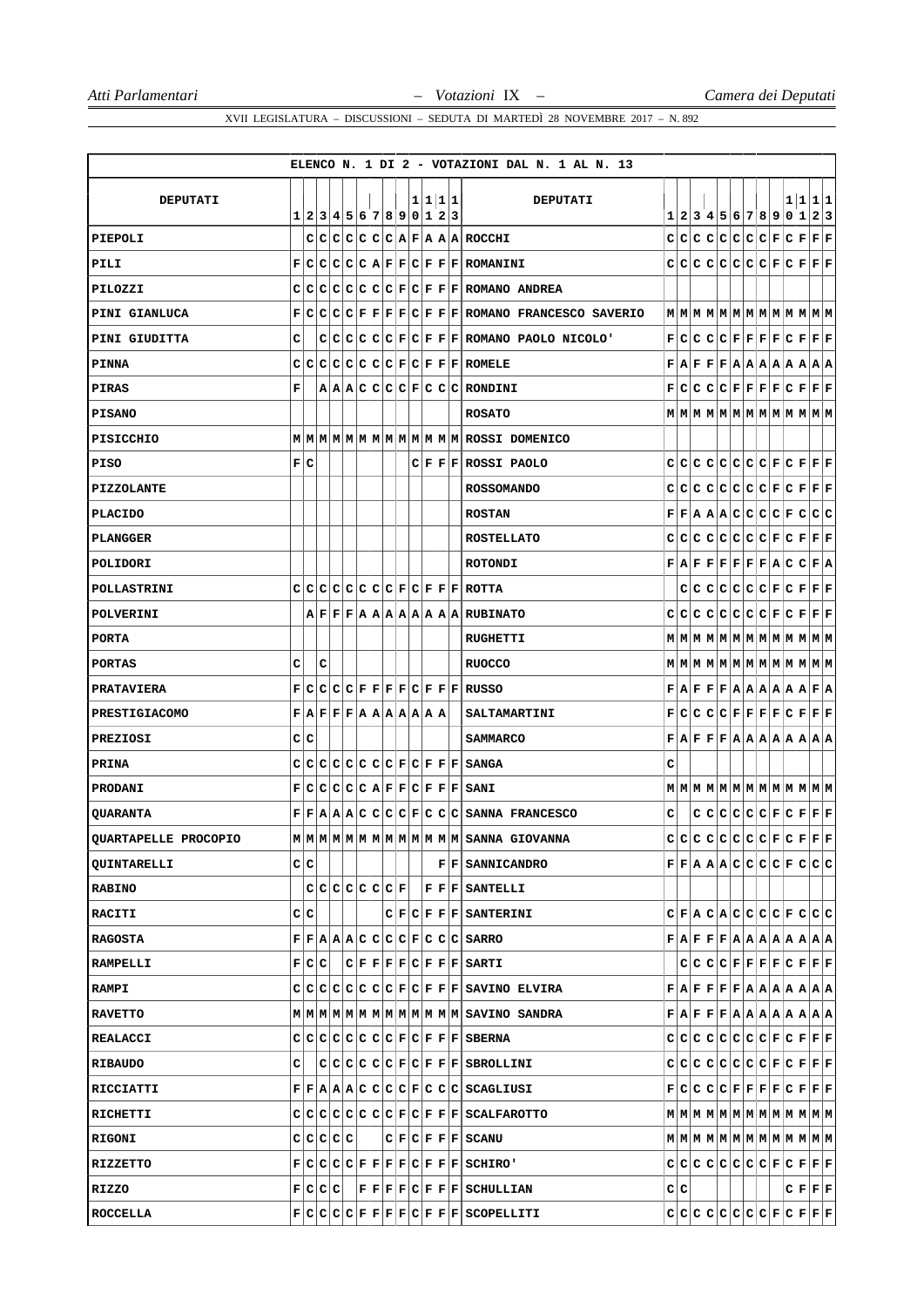|                      |              |     |           |  |                                                                                                                                                |  |  |         | ELENCO N. 1 DI 2 - VOTAZIONI DAL N. 1 AL N. 13                                                                                                            |   |     |  |  |  |                                                                                                                                                             |  |
|----------------------|--------------|-----|-----------|--|------------------------------------------------------------------------------------------------------------------------------------------------|--|--|---------|-----------------------------------------------------------------------------------------------------------------------------------------------------------|---|-----|--|--|--|-------------------------------------------------------------------------------------------------------------------------------------------------------------|--|
| DEPUTATI             |              |     |           |  |                                                                                                                                                |  |  | 1 1 1 1 | <b>DEPUTATI</b>                                                                                                                                           |   |     |  |  |  | 1 1 1 1                                                                                                                                                     |  |
|                      |              |     |           |  | 1 2 3 4 5 6 7 8 9 0 1 2 3                                                                                                                      |  |  |         |                                                                                                                                                           |   |     |  |  |  | 1 2 3 4 5 6 7 8 9 0 1 2 3                                                                                                                                   |  |
| PIEPOLI              |              |     |           |  |                                                                                                                                                |  |  |         | C C C C C C A F A A A ROCCHI                                                                                                                              |   |     |  |  |  | $C C C C C C C F C F F F F$                                                                                                                                 |  |
| PILI                 | F            |     |           |  |                                                                                                                                                |  |  |         | C C C C R F F C F F F ROMANINI                                                                                                                            |   |     |  |  |  | $C C C C C C C F C F F F F$                                                                                                                                 |  |
| PILOZZI              | C            |     |           |  |                                                                                                                                                |  |  |         | $ C C C C C C F C F F F $ ROMANO ANDREA                                                                                                                   |   |     |  |  |  |                                                                                                                                                             |  |
| PINI GIANLUCA        | F            | C   |           |  |                                                                                                                                                |  |  |         | $ C C F F F C F F F $ ROMANO FRANCESCO SAVERIO                                                                                                            |   |     |  |  |  |                                                                                                                                                             |  |
| PINI GIUDITTA        | с            |     |           |  |                                                                                                                                                |  |  |         | $C C C C C F C F F F $ ROMANO PAOLO NICOLO'                                                                                                               |   |     |  |  |  | $\mathbf{F}[\mathbf{C} \mathbf{C} \mathbf{C} \mathbf{C} \mathbf{F} \mathbf{F} \mathbf{F} \mathbf{F} \mathbf{C} \mathbf{F} \mathbf{F} \mathbf{F}]$           |  |
| <b>PINNA</b>         |              |     |           |  |                                                                                                                                                |  |  |         | $C C C C C C C F C F F F ROMELE$                                                                                                                          |   |     |  |  |  | $\mathbf{F}   \mathbf{A}   \mathbf{F}   \mathbf{F}   \mathbf{F}   \mathbf{A}   \mathbf{A}   \mathbf{A}   \mathbf{A}   \mathbf{A}   \mathbf{A}   \mathbf{A}$ |  |
| PIRAS                | г            |     |           |  |                                                                                                                                                |  |  |         | A A C C C C F C C C RONDINI                                                                                                                               |   |     |  |  |  | $\mathbf{F}[\mathbf{C} \mathbf{C} \mathbf{C} \mathbf{C} \mathbf{F} \mathbf{F} \mathbf{F} \mathbf{F} \mathbf{C} \mathbf{F} \mathbf{F} \mathbf{F}]$           |  |
| <b>PISANO</b>        |              |     |           |  |                                                                                                                                                |  |  |         | <b>ROSATO</b>                                                                                                                                             |   |     |  |  |  | $M$   $M$   $M$   $M$   $M$   $M$   $M$   $M$   $M$   $M$   $M$   $M$                                                                                       |  |
| PISICCHIO            |              |     |           |  |                                                                                                                                                |  |  |         | M M M M M M M M M M M M M M ROSSI DOMENICO                                                                                                                |   |     |  |  |  |                                                                                                                                                             |  |
| PISO                 | $\mathbf{F}$ | с   |           |  |                                                                                                                                                |  |  |         | $C F F F $ ROSSI PAOLO                                                                                                                                    |   | C C |  |  |  | C C C C C F C F F F                                                                                                                                         |  |
| <b>PIZZOLANTE</b>    |              |     |           |  |                                                                                                                                                |  |  |         | <b>ROSSOMANDO</b>                                                                                                                                         |   |     |  |  |  | $C C C C C C C F C F F F F F$                                                                                                                               |  |
| <b>PLACIDO</b>       |              |     |           |  |                                                                                                                                                |  |  |         | <b>ROSTAN</b>                                                                                                                                             |   |     |  |  |  | F F A A A C C C C F C C C                                                                                                                                   |  |
| PLANGGER             |              |     |           |  |                                                                                                                                                |  |  |         | <b>ROSTELLATO</b>                                                                                                                                         |   |     |  |  |  | $C C C C C C C F C F F F F$                                                                                                                                 |  |
| POLIDORI             |              |     |           |  |                                                                                                                                                |  |  |         | <b>ROTONDI</b>                                                                                                                                            |   |     |  |  |  | $\mathbf{F} \mathbf{A} \mathbf{F} \mathbf{F} \mathbf{F} \mathbf{F} \mathbf{F} \mathbf{F} \mathbf{A} \mathbf{C} \mathbf{C} \mathbf{F} \mathbf{A}$            |  |
| <b>POLLASTRINI</b>   |              |     |           |  |                                                                                                                                                |  |  |         | $C C C C C C C F C F F F $ ROTTA                                                                                                                          |   |     |  |  |  | C C C C C C F C F F F F                                                                                                                                     |  |
| <b>POLVERINI</b>     |              |     |           |  |                                                                                                                                                |  |  |         | $A$ $F$ $F$ $F$ $A$ $A$ $A$ $A$ $A$ $A$ $A$ $A$ $A$ $R$ UBINATO                                                                                           |   |     |  |  |  | $C C C C C C C F C F F F F$                                                                                                                                 |  |
| PORTA                |              |     |           |  |                                                                                                                                                |  |  |         | RUGHETTI                                                                                                                                                  |   |     |  |  |  | $M$   $M$   $M$   $M$   $M$   $M$   $M$   $M$   $M$   $M$   $M$   $M$                                                                                       |  |
| <b>PORTAS</b>        | c            |     | c         |  |                                                                                                                                                |  |  |         | <b>RUOCCO</b>                                                                                                                                             |   |     |  |  |  |                                                                                                                                                             |  |
| <b>PRATAVIERA</b>    | F            |     |           |  |                                                                                                                                                |  |  |         | $C C C C F F F F C F F F RUSSO$                                                                                                                           |   |     |  |  |  | $\mathbf{F}   \mathbf{A}   \mathbf{F}   \mathbf{F}   \mathbf{F}   \mathbf{A}   \mathbf{A}   \mathbf{A}   \mathbf{A}   \mathbf{A}   \mathbf{F}   \mathbf{A}$ |  |
| <b>PRESTIGIACOMO</b> |              |     |           |  | $\mathbf{F}   \mathbf{A}   \mathbf{F}   \mathbf{F}   \mathbf{F}   \mathbf{A}   \mathbf{A}   \mathbf{A}   \mathbf{A}   \mathbf{A}   \mathbf{A}$ |  |  |         | <b>SALTAMARTINI</b>                                                                                                                                       |   |     |  |  |  | $\mathbf{F}[\mathbf{C} \mathbf{C} \mathbf{C} \mathbf{C} \mathbf{F} \mathbf{F} \mathbf{F} \mathbf{F} \mathbf{C} \mathbf{F} \mathbf{F} \mathbf{F}]$           |  |
| PREZIOSI             |              | C C |           |  |                                                                                                                                                |  |  |         | <b>SAMMARCO</b>                                                                                                                                           |   |     |  |  |  | $\mathbf{F}   \mathbf{A}   \mathbf{F}   \mathbf{F}   \mathbf{F}   \mathbf{A}   \mathbf{A}   \mathbf{A}   \mathbf{A}   \mathbf{A}   \mathbf{A}   \mathbf{A}$ |  |
| <b>PRINA</b>         | C.           | IC. |           |  |                                                                                                                                                |  |  |         | C C C C C F C F F F SANGA                                                                                                                                 | с |     |  |  |  |                                                                                                                                                             |  |
| <b>PRODANI</b>       | F            | c   |           |  |                                                                                                                                                |  |  |         | C C C C A F F C F F F SANI                                                                                                                                |   |     |  |  |  |                                                                                                                                                             |  |
| <b>QUARANTA</b>      |              |     |           |  |                                                                                                                                                |  |  |         | $F F A A C C C C F C C C SANNA$ FRANCESCO                                                                                                                 | c |     |  |  |  | $C C C C C F C F F F F$                                                                                                                                     |  |
| QUARTAPELLE PROCOPIO |              |     |           |  |                                                                                                                                                |  |  |         | $\texttt{M} \texttt{M} \texttt{M} \texttt{M} \texttt{M} \texttt{M} \texttt{M} \texttt{M} \texttt{M} \texttt{M} \texttt{M} \texttt{SANNA}\text{ GIOVANNA}$ |   |     |  |  |  |                                                                                                                                                             |  |
| QUINTARELLI          |              | C C |           |  |                                                                                                                                                |  |  |         | <b>FFISANNICANDRO</b>                                                                                                                                     |   |     |  |  |  | F F A A A C C C C F C C C                                                                                                                                   |  |
| <b>RABINO</b>        |              |     |           |  |                                                                                                                                                |  |  |         | $C C C C C C F $   $F F F $ SANTELLI                                                                                                                      |   |     |  |  |  |                                                                                                                                                             |  |
| <b>RACITI</b>        |              | C C |           |  |                                                                                                                                                |  |  |         | $ C F C F F F $ SANTERINI                                                                                                                                 |   |     |  |  |  | $C F A C A C C C C F C C C C $                                                                                                                              |  |
| <b>RAGOSTA</b>       |              |     |           |  |                                                                                                                                                |  |  |         | F F A A C C C C F C C C SARRO                                                                                                                             |   |     |  |  |  | $\mathbf{F}   \mathbf{A}   \mathbf{F}   \mathbf{F}   \mathbf{F}   \mathbf{A}   \mathbf{A}   \mathbf{A}   \mathbf{A}   \mathbf{A}   \mathbf{A}   \mathbf{A}$ |  |
| <b>RAMPELLI</b>      |              |     | F C C     |  |                                                                                                                                                |  |  |         | C F F F F C F F F SARTI                                                                                                                                   |   |     |  |  |  | C C C F F F F C F F F F                                                                                                                                     |  |
| <b>RAMPI</b>         |              |     |           |  |                                                                                                                                                |  |  |         | $C C C C C C C F C F F F $ SAVINO ELVIRA                                                                                                                  |   |     |  |  |  | $\mathbf{F}   \mathbf{A}   \mathbf{F}   \mathbf{F}   \mathbf{F}   \mathbf{F}   \mathbf{A}   \mathbf{A}   \mathbf{A}   \mathbf{A}   \mathbf{A}   \mathbf{A}$ |  |
| <b>RAVETTO</b>       |              |     |           |  |                                                                                                                                                |  |  |         | M M M M M M M M M M M M M M SAVINO SANDRA                                                                                                                 |   |     |  |  |  | $\mathbf{F}   \mathbf{A}   \mathbf{F}   \mathbf{F}   \mathbf{F}   \mathbf{A}   \mathbf{A}   \mathbf{A}   \mathbf{A}   \mathbf{A}   \mathbf{A}   \mathbf{A}$ |  |
| REALACCI             |              |     |           |  |                                                                                                                                                |  |  |         | $C C C C C C C F C F F F SBERNA$                                                                                                                          |   |     |  |  |  |                                                                                                                                                             |  |
| RIBAUDO              | с            |     |           |  |                                                                                                                                                |  |  |         | C C C C C F C F F F SBrOLLINI                                                                                                                             |   |     |  |  |  |                                                                                                                                                             |  |
| RICCIATTI            |              |     |           |  |                                                                                                                                                |  |  |         | F F A A A C C C F C C C C SCAGLIUST                                                                                                                       |   |     |  |  |  | $\mathbf{F}[\mathbf{C} \mathbf{C} \mathbf{C} \mathbf{C} \mathbf{F} \mathbf{F} \mathbf{F} \mathbf{F} \mathbf{C} \mathbf{F} \mathbf{F} \mathbf{F}]$           |  |
| RICHETTI             |              |     |           |  |                                                                                                                                                |  |  |         | C C C C C C C F C F F F SCALFAROTTO                                                                                                                       |   |     |  |  |  |                                                                                                                                                             |  |
| <b>RIGONI</b>        |              |     | C C C C C |  |                                                                                                                                                |  |  |         | C F C F F F SCANU                                                                                                                                         |   |     |  |  |  | $\texttt{M} \texttt{M} \texttt{M} \texttt{M} \texttt{M} \texttt{M} \texttt{M} \texttt{M} \texttt{M} \texttt{M} \texttt{M} \texttt{M} \texttt{M}$            |  |
| RIZZETTO             |              |     |           |  |                                                                                                                                                |  |  |         | F C C C F F F F C F F F SCHIRO'                                                                                                                           |   |     |  |  |  | $C C C C C C C F C F F F F$                                                                                                                                 |  |
| RIZZO                |              |     |           |  |                                                                                                                                                |  |  |         | $F C C C $ $ F F F C F F F SCHULLIAN$                                                                                                                     |   | C C |  |  |  | C F F F                                                                                                                                                     |  |
| ROCCELLA             |              |     |           |  |                                                                                                                                                |  |  |         | F C C C F F F F C F F F SCOPELLITI                                                                                                                        |   |     |  |  |  | $C C C C C C C F C F F F F$                                                                                                                                 |  |